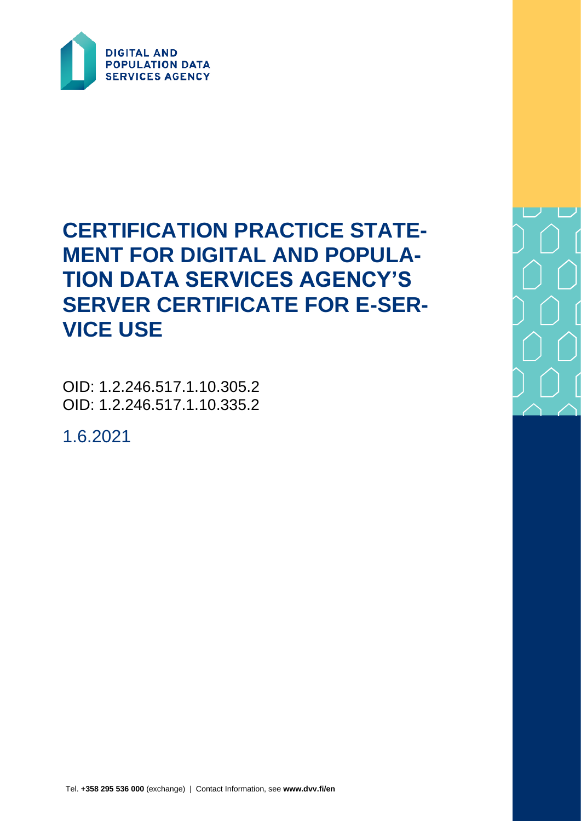

# **CERTIFICATION PRACTICE STATE-MENT FOR DIGITAL AND POPULA-TION DATA SERVICES AGENCY'S SERVER CERTIFICATE FOR E-SER-VICE USE**

OID: 1.2.246.517.1.10.305.2 OID: 1.2.246.517.1.10.335.2

1.6.2021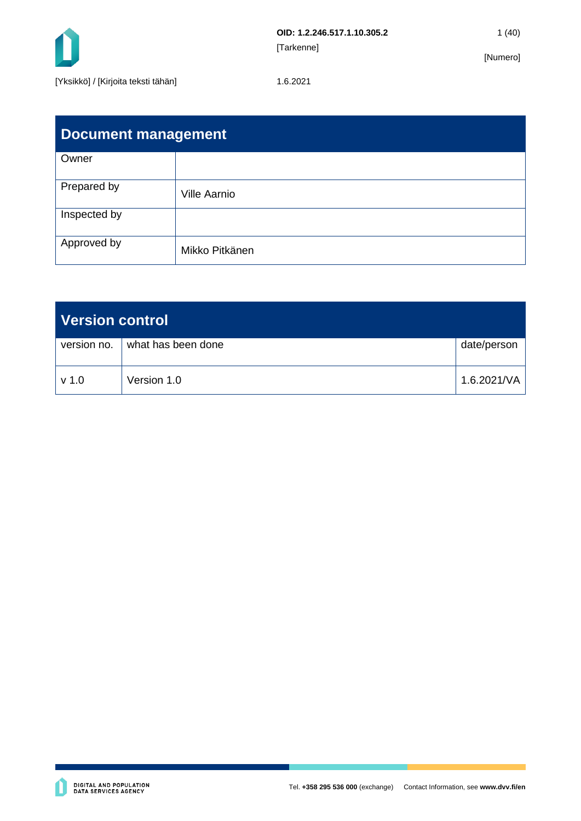

| <b>Document management</b> |                     |  |  |  |  |
|----------------------------|---------------------|--|--|--|--|
| Owner                      |                     |  |  |  |  |
| Prepared by                | <b>Ville Aarnio</b> |  |  |  |  |
| Inspected by               |                     |  |  |  |  |
| Approved by                | Mikko Pitkänen      |  |  |  |  |

| Version control  |                    |                      |  |  |
|------------------|--------------------|----------------------|--|--|
| version no.      | what has been done | date/person          |  |  |
| v <sub>1.0</sub> | Version 1.0        | $1.6.2021/\text{VA}$ |  |  |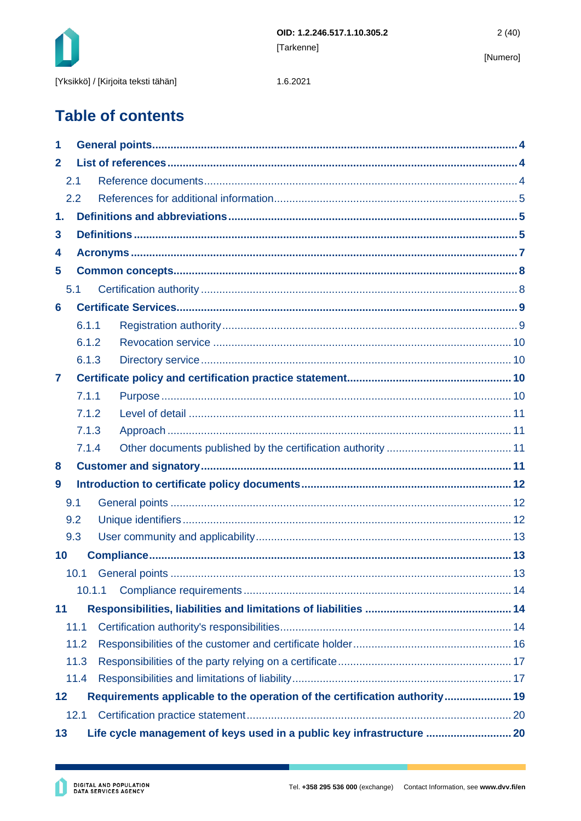

1.6.2021

# **Table of contents**

| 1            |                                                                            |  |                                                                       |  |  |
|--------------|----------------------------------------------------------------------------|--|-----------------------------------------------------------------------|--|--|
| $\mathbf{2}$ |                                                                            |  |                                                                       |  |  |
|              | 2.1                                                                        |  |                                                                       |  |  |
|              | 2.2                                                                        |  |                                                                       |  |  |
| 1.           |                                                                            |  |                                                                       |  |  |
| 3            |                                                                            |  |                                                                       |  |  |
| 4            |                                                                            |  |                                                                       |  |  |
| 5            |                                                                            |  |                                                                       |  |  |
|              | 5.1                                                                        |  |                                                                       |  |  |
| 6            |                                                                            |  |                                                                       |  |  |
|              | 6.1.1                                                                      |  |                                                                       |  |  |
|              | 6.1.2                                                                      |  |                                                                       |  |  |
|              | 6.1.3                                                                      |  |                                                                       |  |  |
| 7            |                                                                            |  |                                                                       |  |  |
|              | 7.1.1                                                                      |  |                                                                       |  |  |
|              | 7.1.2                                                                      |  |                                                                       |  |  |
|              | 7.1.3                                                                      |  |                                                                       |  |  |
|              | 7.1.4                                                                      |  |                                                                       |  |  |
| 8            |                                                                            |  |                                                                       |  |  |
| 9            |                                                                            |  |                                                                       |  |  |
|              | 9.1                                                                        |  |                                                                       |  |  |
|              | 9.2                                                                        |  |                                                                       |  |  |
|              | 9.3                                                                        |  |                                                                       |  |  |
| 10           |                                                                            |  |                                                                       |  |  |
|              |                                                                            |  |                                                                       |  |  |
|              | 10.1.1                                                                     |  |                                                                       |  |  |
| 11           |                                                                            |  |                                                                       |  |  |
|              | 11.1                                                                       |  |                                                                       |  |  |
|              | 11.2                                                                       |  |                                                                       |  |  |
|              | 11.3                                                                       |  |                                                                       |  |  |
|              | 11.4                                                                       |  |                                                                       |  |  |
| 12           | Requirements applicable to the operation of the certification authority 19 |  |                                                                       |  |  |
|              | 12.1                                                                       |  |                                                                       |  |  |
| 13           |                                                                            |  | Life cycle management of keys used in a public key infrastructure  20 |  |  |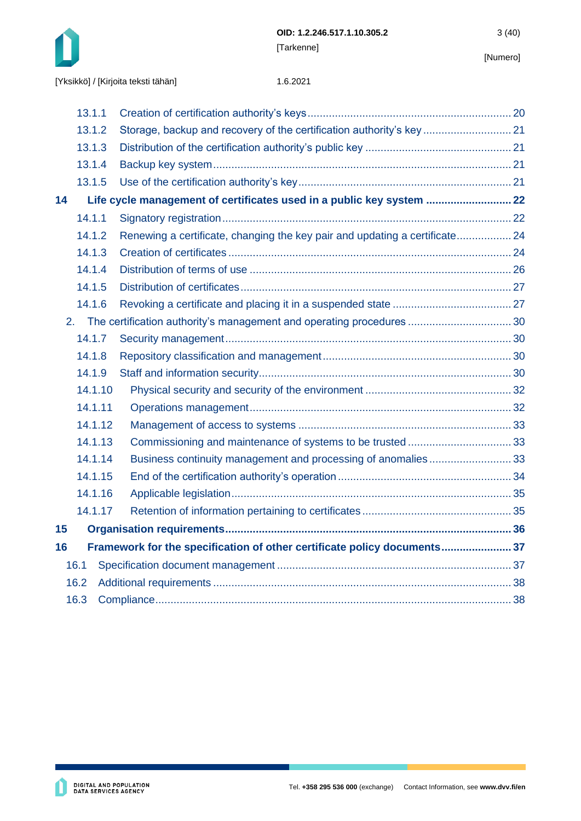

|    | 13.1.1  |                                                                            |  |
|----|---------|----------------------------------------------------------------------------|--|
|    | 13.1.2  | Storage, backup and recovery of the certification authority's key 21       |  |
|    | 13.1.3  |                                                                            |  |
|    | 13.1.4  |                                                                            |  |
|    | 13.1.5  |                                                                            |  |
| 14 |         | Life cycle management of certificates used in a public key system  22      |  |
|    | 14.1.1  |                                                                            |  |
|    | 14.1.2  | Renewing a certificate, changing the key pair and updating a certificate24 |  |
|    | 14.1.3  |                                                                            |  |
|    | 14.1.4  |                                                                            |  |
|    | 14.1.5  |                                                                            |  |
|    | 14.1.6  |                                                                            |  |
|    |         |                                                                            |  |
|    | 14.1.7  |                                                                            |  |
|    | 14.1.8  |                                                                            |  |
|    | 14.1.9  |                                                                            |  |
|    | 14.1.10 |                                                                            |  |
|    | 14.1.11 |                                                                            |  |
|    | 14.1.12 |                                                                            |  |
|    | 14.1.13 |                                                                            |  |
|    | 14.1.14 | Business continuity management and processing of anomalies33               |  |
|    | 14.1.15 |                                                                            |  |
|    | 14.1.16 |                                                                            |  |
|    | 14.1.17 |                                                                            |  |
| 15 |         |                                                                            |  |
| 16 |         | Framework for the specification of other certificate policy documents 37   |  |
|    | 16.1    |                                                                            |  |
|    | 16.2    |                                                                            |  |
|    | 16.3    |                                                                            |  |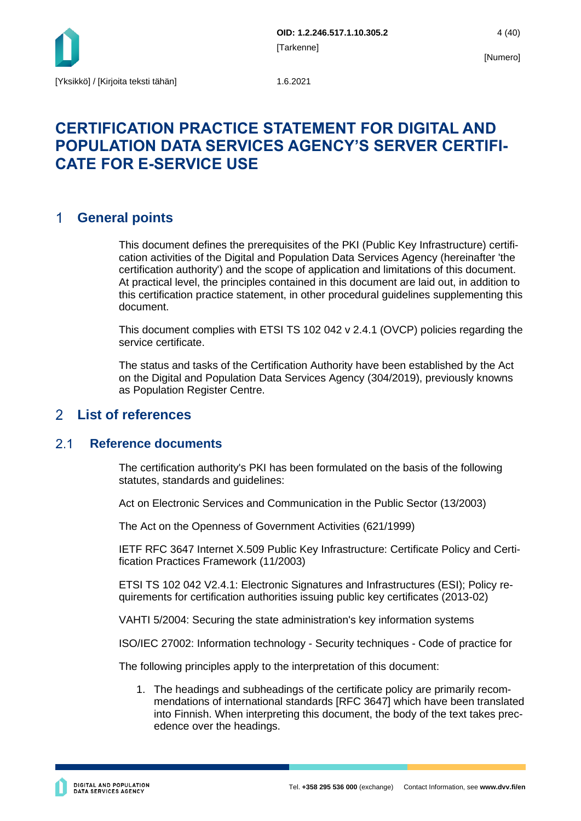

# **CERTIFICATION PRACTICE STATEMENT FOR DIGITAL AND POPULATION DATA SERVICES AGENCY'S SERVER CERTIFI-CATE FOR E-SERVICE USE**

#### <span id="page-4-0"></span> $\mathbf 1$ **General points**

This document defines the prerequisites of the PKI (Public Key Infrastructure) certification activities of the Digital and Population Data Services Agency (hereinafter 'the certification authority') and the scope of application and limitations of this document. At practical level, the principles contained in this document are laid out, in addition to this certification practice statement, in other procedural guidelines supplementing this document.

This document complies with ETSI TS 102 042 v 2.4.1 (OVCP) policies regarding the service certificate.

The status and tasks of the Certification Authority have been established by the Act on the Digital and Population Data Services Agency (304/2019), previously knowns as Population Register Centre.

#### <span id="page-4-1"></span> $\mathcal{P}$ **List of references**

#### <span id="page-4-2"></span> $21$ **Reference documents**

The certification authority's PKI has been formulated on the basis of the following statutes, standards and guidelines:

Act on Electronic Services and Communication in the Public Sector (13/2003)

The Act on the Openness of Government Activities (621/1999)

IETF RFC 3647 Internet X.509 Public Key Infrastructure: Certificate Policy and Certification Practices Framework (11/2003)

ETSI TS 102 042 V2.4.1: Electronic Signatures and Infrastructures (ESI); Policy requirements for certification authorities issuing public key certificates (2013-02)

VAHTI 5/2004: Securing the state administration's key information systems

ISO/IEC 27002: Information technology - Security techniques - Code of practice for

The following principles apply to the interpretation of this document:

1. The headings and subheadings of the certificate policy are primarily recommendations of international standards [RFC 3647] which have been translated into Finnish. When interpreting this document, the body of the text takes precedence over the headings.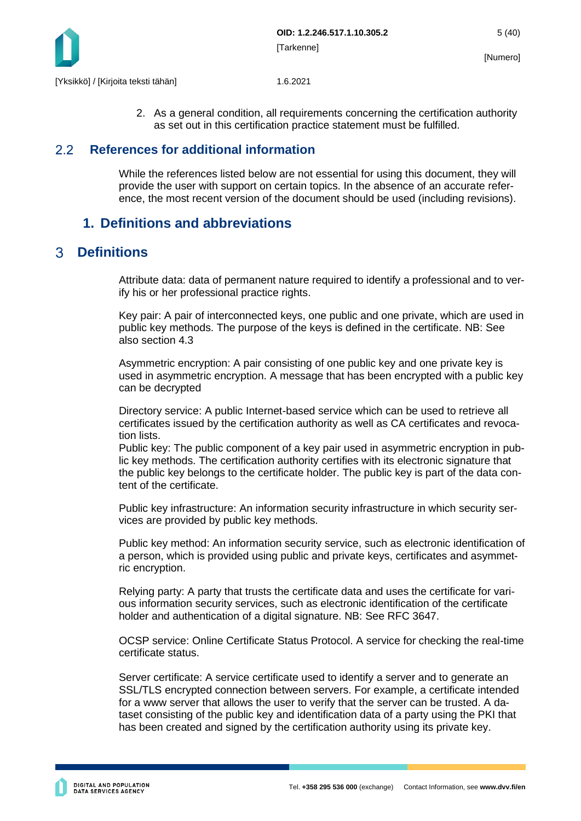

2. As a general condition, all requirements concerning the certification authority as set out in this certification practice statement must be fulfilled.

#### <span id="page-5-0"></span> $2.2$ **References for additional information**

While the references listed below are not essential for using this document, they will provide the user with support on certain topics. In the absence of an accurate reference, the most recent version of the document should be used (including revisions).

# <span id="page-5-1"></span>**1. Definitions and abbreviations**

#### <span id="page-5-2"></span>**Definitions**   $\mathcal{R}$

Attribute data: data of permanent nature required to identify a professional and to verify his or her professional practice rights.

Key pair: A pair of interconnected keys, one public and one private, which are used in public key methods. The purpose of the keys is defined in the certificate. NB: See also section 4.3

Asymmetric encryption: A pair consisting of one public key and one private key is used in asymmetric encryption. A message that has been encrypted with a public key can be decrypted

Directory service: A public Internet-based service which can be used to retrieve all certificates issued by the certification authority as well as CA certificates and revocation lists.

Public key: The public component of a key pair used in asymmetric encryption in public key methods. The certification authority certifies with its electronic signature that the public key belongs to the certificate holder. The public key is part of the data content of the certificate.

Public key infrastructure: An information security infrastructure in which security services are provided by public key methods.

Public key method: An information security service, such as electronic identification of a person, which is provided using public and private keys, certificates and asymmetric encryption.

Relying party: A party that trusts the certificate data and uses the certificate for various information security services, such as electronic identification of the certificate holder and authentication of a digital signature. NB: See RFC 3647.

OCSP service: Online Certificate Status Protocol. A service for checking the real-time certificate status.

Server certificate: A service certificate used to identify a server and to generate an SSL/TLS encrypted connection between servers. For example, a certificate intended for a www server that allows the user to verify that the server can be trusted. A dataset consisting of the public key and identification data of a party using the PKI that has been created and signed by the certification authority using its private key.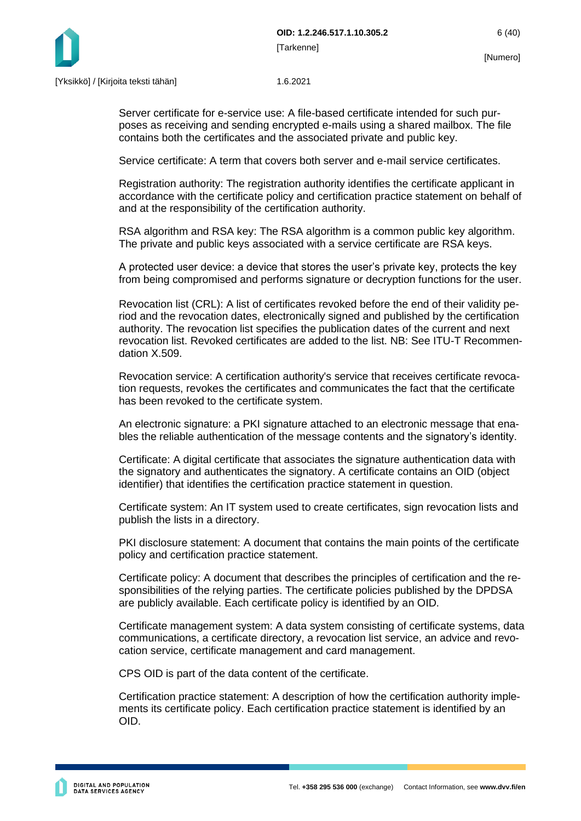

Server certificate for e-service use: A file-based certificate intended for such purposes as receiving and sending encrypted e-mails using a shared mailbox. The file contains both the certificates and the associated private and public key.

Service certificate: A term that covers both server and e-mail service certificates.

Registration authority: The registration authority identifies the certificate applicant in accordance with the certificate policy and certification practice statement on behalf of and at the responsibility of the certification authority.

RSA algorithm and RSA key: The RSA algorithm is a common public key algorithm. The private and public keys associated with a service certificate are RSA keys.

A protected user device: a device that stores the user's private key, protects the key from being compromised and performs signature or decryption functions for the user.

Revocation list (CRL): A list of certificates revoked before the end of their validity period and the revocation dates, electronically signed and published by the certification authority. The revocation list specifies the publication dates of the current and next revocation list. Revoked certificates are added to the list. NB: See ITU-T Recommendation X.509.

Revocation service: A certification authority's service that receives certificate revocation requests, revokes the certificates and communicates the fact that the certificate has been revoked to the certificate system.

An electronic signature: a PKI signature attached to an electronic message that enables the reliable authentication of the message contents and the signatory's identity.

Certificate: A digital certificate that associates the signature authentication data with the signatory and authenticates the signatory. A certificate contains an OID (object identifier) that identifies the certification practice statement in question.

Certificate system: An IT system used to create certificates, sign revocation lists and publish the lists in a directory.

PKI disclosure statement: A document that contains the main points of the certificate policy and certification practice statement.

Certificate policy: A document that describes the principles of certification and the responsibilities of the relying parties. The certificate policies published by the DPDSA are publicly available. Each certificate policy is identified by an OID.

Certificate management system: A data system consisting of certificate systems, data communications, a certificate directory, a revocation list service, an advice and revocation service, certificate management and card management.

CPS OID is part of the data content of the certificate.

Certification practice statement: A description of how the certification authority implements its certificate policy. Each certification practice statement is identified by an OID.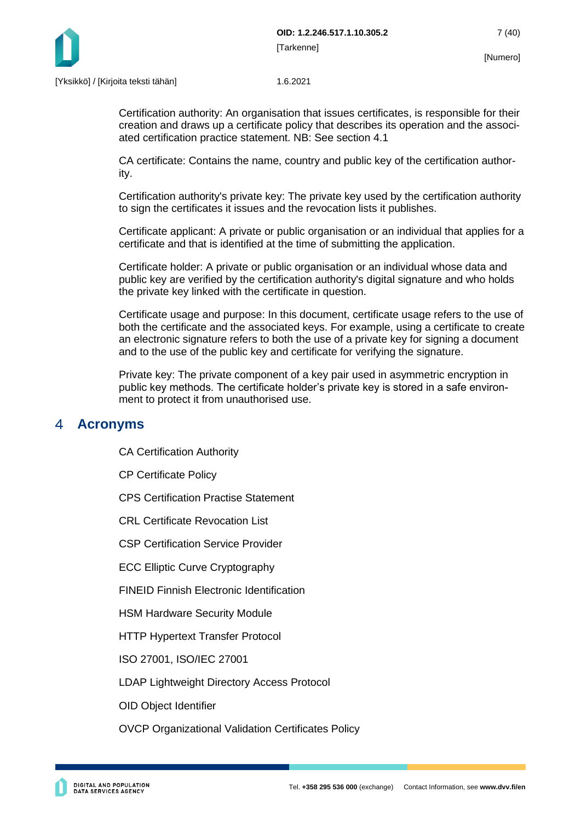

Certification authority: An organisation that issues certificates, is responsible for their creation and draws up a certificate policy that describes its operation and the associated certification practice statement. NB: See section 4.1

CA certificate: Contains the name, country and public key of the certification authority.

Certification authority's private key: The private key used by the certification authority to sign the certificates it issues and the revocation lists it publishes.

Certificate applicant: A private or public organisation or an individual that applies for a certificate and that is identified at the time of submitting the application.

Certificate holder: A private or public organisation or an individual whose data and public key are verified by the certification authority's digital signature and who holds the private key linked with the certificate in question.

Certificate usage and purpose: In this document, certificate usage refers to the use of both the certificate and the associated keys. For example, using a certificate to create an electronic signature refers to both the use of a private key for signing a document and to the use of the public key and certificate for verifying the signature.

Private key: The private component of a key pair used in asymmetric encryption in public key methods. The certificate holder's private key is stored in a safe environment to protect it from unauthorised use.

#### <span id="page-7-0"></span> $\blacktriangle$ **Acronyms**

CA Certification Authority

CP Certificate Policy

CPS Certification Practise Statement

CRL Certificate Revocation List

CSP Certification Service Provider

ECC Elliptic Curve Cryptography

FINEID Finnish Electronic Identification

HSM Hardware Security Module

HTTP Hypertext Transfer Protocol

ISO 27001, ISO/IEC 27001

LDAP Lightweight Directory Access Protocol

OID Object Identifier

OVCP Organizational Validation Certificates Policy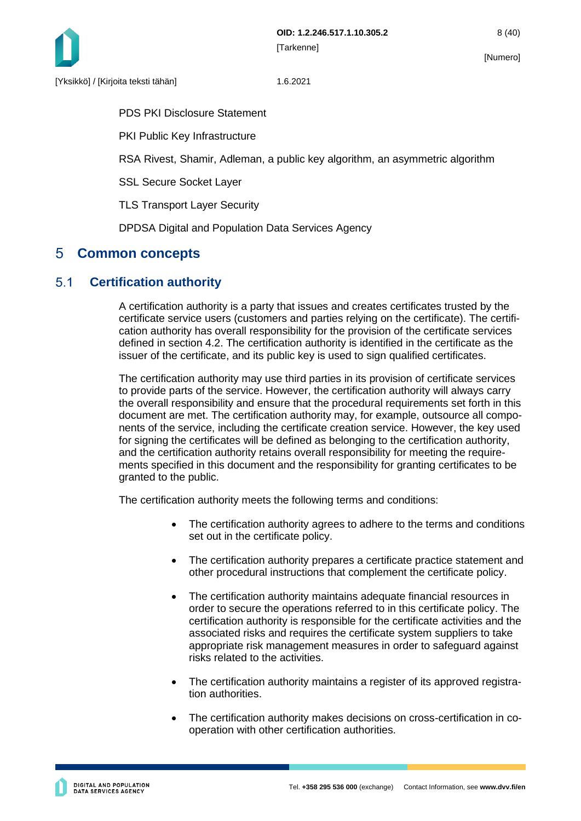

PDS PKI Disclosure Statement

PKI Public Key Infrastructure

RSA Rivest, Shamir, Adleman, a public key algorithm, an asymmetric algorithm

SSL Secure Socket Layer

TLS Transport Layer Security

DPDSA Digital and Population Data Services Agency

# <span id="page-8-0"></span>**Common concepts**

#### <span id="page-8-1"></span> $5.1$ **Certification authority**

A certification authority is a party that issues and creates certificates trusted by the certificate service users (customers and parties relying on the certificate). The certification authority has overall responsibility for the provision of the certificate services defined in section 4.2. The certification authority is identified in the certificate as the issuer of the certificate, and its public key is used to sign qualified certificates.

The certification authority may use third parties in its provision of certificate services to provide parts of the service. However, the certification authority will always carry the overall responsibility and ensure that the procedural requirements set forth in this document are met. The certification authority may, for example, outsource all components of the service, including the certificate creation service. However, the key used for signing the certificates will be defined as belonging to the certification authority, and the certification authority retains overall responsibility for meeting the requirements specified in this document and the responsibility for granting certificates to be granted to the public.

The certification authority meets the following terms and conditions:

- The certification authority agrees to adhere to the terms and conditions set out in the certificate policy.
- The certification authority prepares a certificate practice statement and other procedural instructions that complement the certificate policy.
- The certification authority maintains adequate financial resources in order to secure the operations referred to in this certificate policy. The certification authority is responsible for the certificate activities and the associated risks and requires the certificate system suppliers to take appropriate risk management measures in order to safeguard against risks related to the activities.
- The certification authority maintains a register of its approved registration authorities.
- The certification authority makes decisions on cross-certification in cooperation with other certification authorities.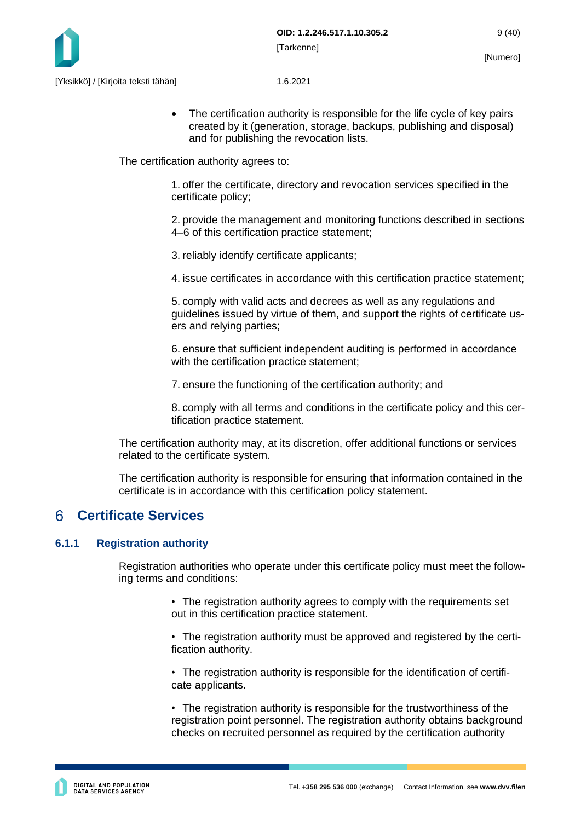

• The certification authority is responsible for the life cycle of key pairs created by it (generation, storage, backups, publishing and disposal) and for publishing the revocation lists.

The certification authority agrees to:

1. offer the certificate, directory and revocation services specified in the certificate policy;

2. provide the management and monitoring functions described in sections 4–6 of this certification practice statement;

3. reliably identify certificate applicants;

4. issue certificates in accordance with this certification practice statement;

5. comply with valid acts and decrees as well as any regulations and guidelines issued by virtue of them, and support the rights of certificate users and relying parties;

6. ensure that sufficient independent auditing is performed in accordance with the certification practice statement;

7. ensure the functioning of the certification authority; and

8. comply with all terms and conditions in the certificate policy and this certification practice statement.

The certification authority may, at its discretion, offer additional functions or services related to the certificate system.

The certification authority is responsible for ensuring that information contained in the certificate is in accordance with this certification policy statement.

#### <span id="page-9-0"></span>6 **Certificate Services**

#### <span id="page-9-1"></span>**6.1.1 Registration authority**

Registration authorities who operate under this certificate policy must meet the following terms and conditions:

> • The registration authority agrees to comply with the requirements set out in this certification practice statement.

• The registration authority must be approved and registered by the certification authority.

• The registration authority is responsible for the identification of certificate applicants.

• The registration authority is responsible for the trustworthiness of the registration point personnel. The registration authority obtains background checks on recruited personnel as required by the certification authority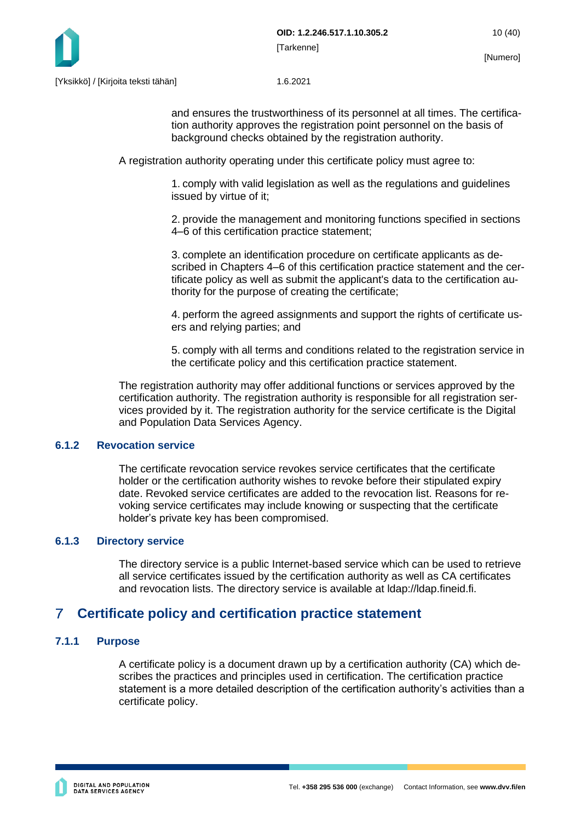

and ensures the trustworthiness of its personnel at all times. The certification authority approves the registration point personnel on the basis of background checks obtained by the registration authority.

A registration authority operating under this certificate policy must agree to:

1. comply with valid legislation as well as the regulations and guidelines issued by virtue of it;

2. provide the management and monitoring functions specified in sections 4–6 of this certification practice statement;

3. complete an identification procedure on certificate applicants as described in Chapters 4–6 of this certification practice statement and the certificate policy as well as submit the applicant's data to the certification authority for the purpose of creating the certificate;

4. perform the agreed assignments and support the rights of certificate users and relying parties; and

5. comply with all terms and conditions related to the registration service in the certificate policy and this certification practice statement.

The registration authority may offer additional functions or services approved by the certification authority. The registration authority is responsible for all registration services provided by it. The registration authority for the service certificate is the Digital and Population Data Services Agency.

#### <span id="page-10-0"></span>**6.1.2 Revocation service**

The certificate revocation service revokes service certificates that the certificate holder or the certification authority wishes to revoke before their stipulated expiry date. Revoked service certificates are added to the revocation list. Reasons for revoking service certificates may include knowing or suspecting that the certificate holder's private key has been compromised.

## <span id="page-10-1"></span>**6.1.3 Directory service**

The directory service is a public Internet-based service which can be used to retrieve all service certificates issued by the certification authority as well as CA certificates and revocation lists. The directory service is available at ldap://ldap.fineid.fi.

#### <span id="page-10-2"></span> $\overline{7}$ **Certificate policy and certification practice statement**

## <span id="page-10-3"></span>**7.1.1 Purpose**

A certificate policy is a document drawn up by a certification authority (CA) which describes the practices and principles used in certification. The certification practice statement is a more detailed description of the certification authority's activities than a certificate policy.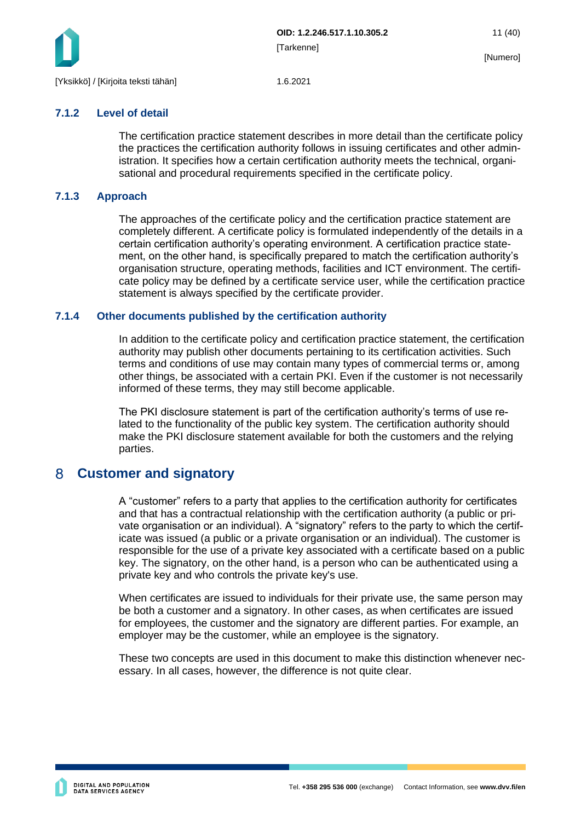

## <span id="page-11-0"></span>**7.1.2 Level of detail**

The certification practice statement describes in more detail than the certificate policy the practices the certification authority follows in issuing certificates and other administration. It specifies how a certain certification authority meets the technical, organisational and procedural requirements specified in the certificate policy.

## <span id="page-11-1"></span>**7.1.3 Approach**

The approaches of the certificate policy and the certification practice statement are completely different. A certificate policy is formulated independently of the details in a certain certification authority's operating environment. A certification practice statement, on the other hand, is specifically prepared to match the certification authority's organisation structure, operating methods, facilities and ICT environment. The certificate policy may be defined by a certificate service user, while the certification practice statement is always specified by the certificate provider.

## <span id="page-11-2"></span>**7.1.4 Other documents published by the certification authority**

In addition to the certificate policy and certification practice statement, the certification authority may publish other documents pertaining to its certification activities. Such terms and conditions of use may contain many types of commercial terms or, among other things, be associated with a certain PKI. Even if the customer is not necessarily informed of these terms, they may still become applicable.

The PKI disclosure statement is part of the certification authority's terms of use related to the functionality of the public key system. The certification authority should make the PKI disclosure statement available for both the customers and the relying parties.

#### <span id="page-11-3"></span> $8<sup>°</sup>$ **Customer and signatory**

A "customer" refers to a party that applies to the certification authority for certificates and that has a contractual relationship with the certification authority (a public or private organisation or an individual). A "signatory" refers to the party to which the certificate was issued (a public or a private organisation or an individual). The customer is responsible for the use of a private key associated with a certificate based on a public key. The signatory, on the other hand, is a person who can be authenticated using a private key and who controls the private key's use.

When certificates are issued to individuals for their private use, the same person may be both a customer and a signatory. In other cases, as when certificates are issued for employees, the customer and the signatory are different parties. For example, an employer may be the customer, while an employee is the signatory.

These two concepts are used in this document to make this distinction whenever necessary. In all cases, however, the difference is not quite clear.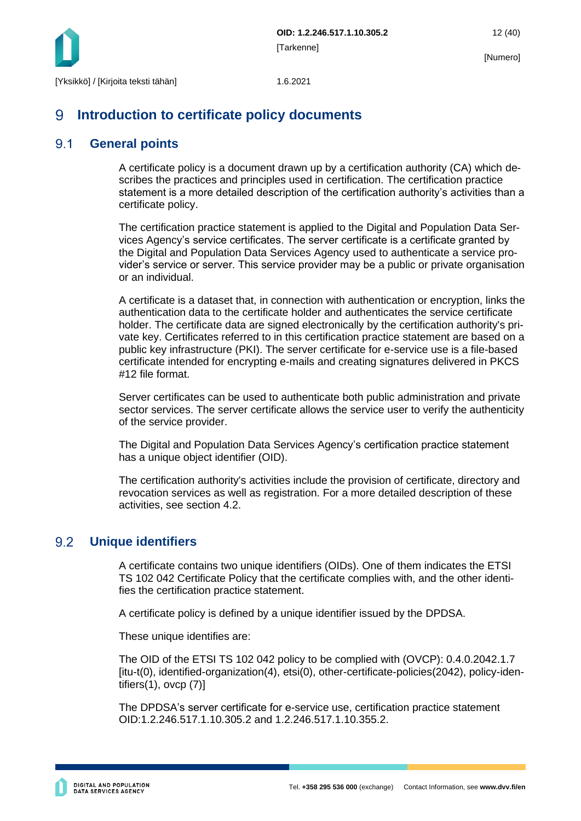

#### <span id="page-12-0"></span>9 **Introduction to certificate policy documents**

#### <span id="page-12-1"></span> $9.1$ **General points**

A certificate policy is a document drawn up by a certification authority (CA) which describes the practices and principles used in certification. The certification practice statement is a more detailed description of the certification authority's activities than a certificate policy.

The certification practice statement is applied to the Digital and Population Data Services Agency's service certificates. The server certificate is a certificate granted by the Digital and Population Data Services Agency used to authenticate a service provider's service or server. This service provider may be a public or private organisation or an individual.

A certificate is a dataset that, in connection with authentication or encryption, links the authentication data to the certificate holder and authenticates the service certificate holder. The certificate data are signed electronically by the certification authority's private key. Certificates referred to in this certification practice statement are based on a public key infrastructure (PKI). The server certificate for e-service use is a file-based certificate intended for encrypting e-mails and creating signatures delivered in PKCS #12 file format.

Server certificates can be used to authenticate both public administration and private sector services. The server certificate allows the service user to verify the authenticity of the service provider.

The Digital and Population Data Services Agency's certification practice statement has a unique object identifier (OID).

The certification authority's activities include the provision of certificate, directory and revocation services as well as registration. For a more detailed description of these activities, see section 4.2.

#### <span id="page-12-2"></span>9.2 **Unique identifiers**

A certificate contains two unique identifiers (OIDs). One of them indicates the ETSI TS 102 042 Certificate Policy that the certificate complies with, and the other identifies the certification practice statement.

A certificate policy is defined by a unique identifier issued by the DPDSA.

These unique identifies are:

The OID of the ETSI TS 102 042 policy to be complied with (OVCP): 0.4.0.2042.1.7 [itu-t(0), identified-organization(4), etsi(0), other-certificate-policies(2042), policy-identifiers(1), ovcp (7)]

The DPDSA's server certificate for e-service use, certification practice statement OID:1.2.246.517.1.10.305.2 and 1.2.246.517.1.10.355.2.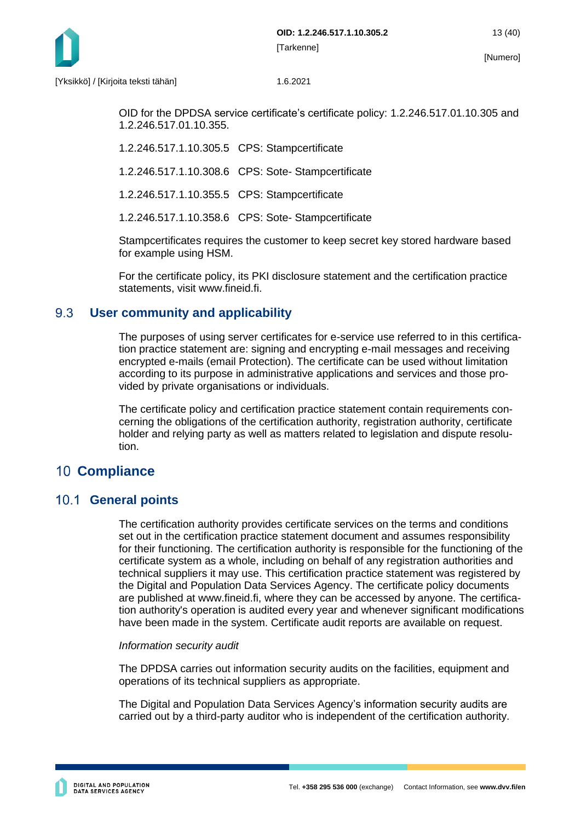

OID for the DPDSA service certificate's certificate policy: 1.2.246.517.01.10.305 and 1.2.246.517.01.10.355.

1.2.246.517.1.10.305.5 CPS: Stampcertificate

1.2.246.517.1.10.308.6 CPS: Sote- Stampcertificate

1.2.246.517.1.10.355.5 CPS: Stampcertificate

1.2.246.517.1.10.358.6 CPS: Sote- Stampcertificate

Stampcertificates requires the customer to keep secret key stored hardware based for example using HSM.

For the certificate policy, its PKI disclosure statement and the certification practice statements, visit www.fineid.fi.

#### <span id="page-13-0"></span>9.3 **User community and applicability**

The purposes of using server certificates for e-service use referred to in this certification practice statement are: signing and encrypting e-mail messages and receiving encrypted e-mails (email Protection). The certificate can be used without limitation according to its purpose in administrative applications and services and those provided by private organisations or individuals.

The certificate policy and certification practice statement contain requirements concerning the obligations of the certification authority, registration authority, certificate holder and relying party as well as matters related to legislation and dispute resolution.

# <span id="page-13-1"></span>**10 Compliance**

# <span id="page-13-2"></span>10.1 **General points**

The certification authority provides certificate services on the terms and conditions set out in the certification practice statement document and assumes responsibility for their functioning. The certification authority is responsible for the functioning of the certificate system as a whole, including on behalf of any registration authorities and technical suppliers it may use. This certification practice statement was registered by the Digital and Population Data Services Agency. The certificate policy documents are published at www.fineid.fi, where they can be accessed by anyone. The certification authority's operation is audited every year and whenever significant modifications have been made in the system. Certificate audit reports are available on request.

#### *Information security audit*

The DPDSA carries out information security audits on the facilities, equipment and operations of its technical suppliers as appropriate.

The Digital and Population Data Services Agency's information security audits are carried out by a third-party auditor who is independent of the certification authority.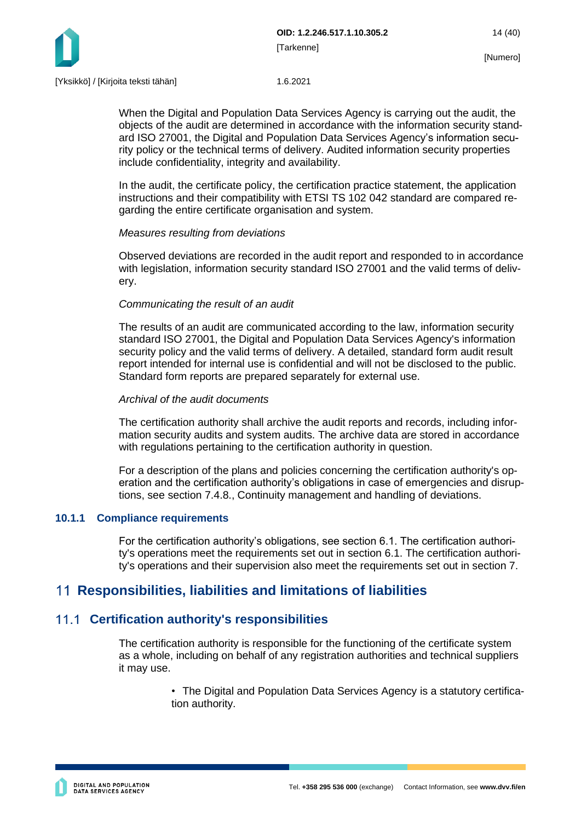

When the Digital and Population Data Services Agency is carrying out the audit, the objects of the audit are determined in accordance with the information security standard ISO 27001, the Digital and Population Data Services Agency's information security policy or the technical terms of delivery. Audited information security properties include confidentiality, integrity and availability.

In the audit, the certificate policy, the certification practice statement, the application instructions and their compatibility with ETSI TS 102 042 standard are compared regarding the entire certificate organisation and system.

## *Measures resulting from deviations*

Observed deviations are recorded in the audit report and responded to in accordance with legislation, information security standard ISO 27001 and the valid terms of delivery.

#### *Communicating the result of an audit*

The results of an audit are communicated according to the law, information security standard ISO 27001, the Digital and Population Data Services Agency's information security policy and the valid terms of delivery. A detailed, standard form audit result report intended for internal use is confidential and will not be disclosed to the public. Standard form reports are prepared separately for external use.

#### *Archival of the audit documents*

The certification authority shall archive the audit reports and records, including information security audits and system audits. The archive data are stored in accordance with regulations pertaining to the certification authority in question.

For a description of the plans and policies concerning the certification authority's operation and the certification authority's obligations in case of emergencies and disruptions, see section 7.4.8., Continuity management and handling of deviations.

## <span id="page-14-0"></span>**10.1.1 Compliance requirements**

For the certification authority's obligations, see section 6.1. The certification authority's operations meet the requirements set out in section 6.1. The certification authority's operations and their supervision also meet the requirements set out in section 7.

# <span id="page-14-1"></span>**Responsibilities, liabilities and limitations of liabilities**

# <span id="page-14-2"></span>**Certification authority's responsibilities**

The certification authority is responsible for the functioning of the certificate system as a whole, including on behalf of any registration authorities and technical suppliers it may use.

> • The Digital and Population Data Services Agency is a statutory certification authority.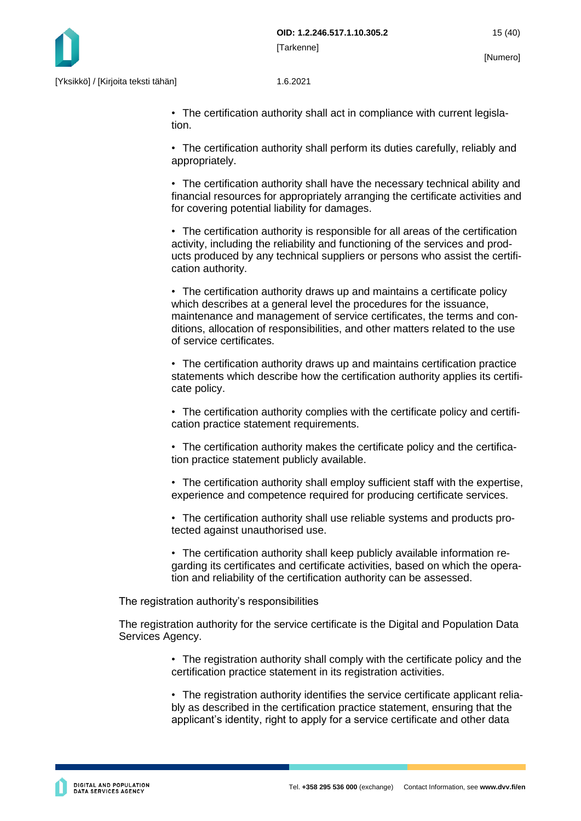

• The certification authority shall act in compliance with current legislation.

• The certification authority shall perform its duties carefully, reliably and appropriately.

• The certification authority shall have the necessary technical ability and financial resources for appropriately arranging the certificate activities and for covering potential liability for damages.

• The certification authority is responsible for all areas of the certification activity, including the reliability and functioning of the services and products produced by any technical suppliers or persons who assist the certification authority.

• The certification authority draws up and maintains a certificate policy which describes at a general level the procedures for the issuance, maintenance and management of service certificates, the terms and conditions, allocation of responsibilities, and other matters related to the use of service certificates.

• The certification authority draws up and maintains certification practice statements which describe how the certification authority applies its certificate policy.

• The certification authority complies with the certificate policy and certification practice statement requirements.

• The certification authority makes the certificate policy and the certification practice statement publicly available.

• The certification authority shall employ sufficient staff with the expertise, experience and competence required for producing certificate services.

• The certification authority shall use reliable systems and products protected against unauthorised use.

• The certification authority shall keep publicly available information regarding its certificates and certificate activities, based on which the operation and reliability of the certification authority can be assessed.

The registration authority's responsibilities

The registration authority for the service certificate is the Digital and Population Data Services Agency.

> • The registration authority shall comply with the certificate policy and the certification practice statement in its registration activities.

> • The registration authority identifies the service certificate applicant reliably as described in the certification practice statement, ensuring that the applicant's identity, right to apply for a service certificate and other data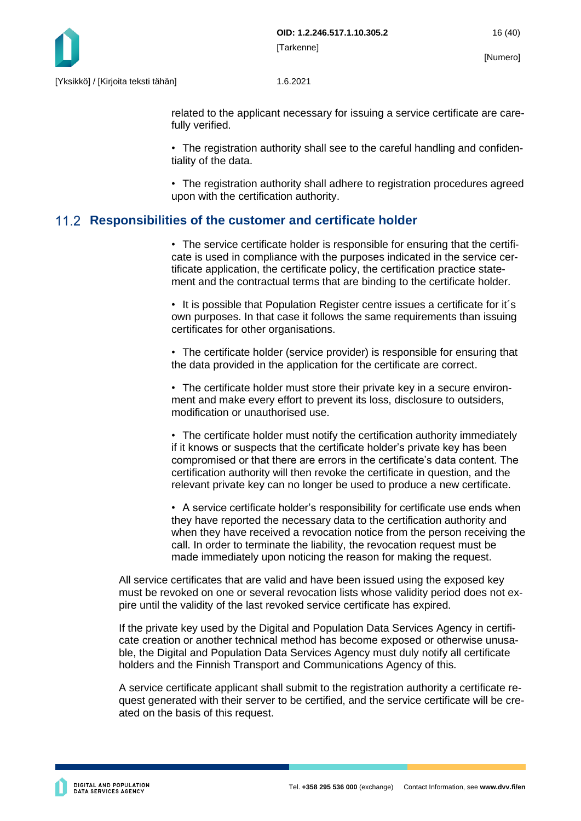

related to the applicant necessary for issuing a service certificate are carefully verified.

• The registration authority shall see to the careful handling and confidentiality of the data.

• The registration authority shall adhere to registration procedures agreed upon with the certification authority.

# <span id="page-16-0"></span>**Responsibilities of the customer and certificate holder**

• The service certificate holder is responsible for ensuring that the certificate is used in compliance with the purposes indicated in the service certificate application, the certificate policy, the certification practice statement and the contractual terms that are binding to the certificate holder.

• It is possible that Population Register centre issues a certificate for it´s own purposes. In that case it follows the same requirements than issuing certificates for other organisations.

• The certificate holder (service provider) is responsible for ensuring that the data provided in the application for the certificate are correct.

• The certificate holder must store their private key in a secure environment and make every effort to prevent its loss, disclosure to outsiders, modification or unauthorised use.

• The certificate holder must notify the certification authority immediately if it knows or suspects that the certificate holder's private key has been compromised or that there are errors in the certificate's data content. The certification authority will then revoke the certificate in question, and the relevant private key can no longer be used to produce a new certificate.

• A service certificate holder's responsibility for certificate use ends when they have reported the necessary data to the certification authority and when they have received a revocation notice from the person receiving the call. In order to terminate the liability, the revocation request must be made immediately upon noticing the reason for making the request.

All service certificates that are valid and have been issued using the exposed key must be revoked on one or several revocation lists whose validity period does not expire until the validity of the last revoked service certificate has expired.

If the private key used by the Digital and Population Data Services Agency in certificate creation or another technical method has become exposed or otherwise unusable, the Digital and Population Data Services Agency must duly notify all certificate holders and the Finnish Transport and Communications Agency of this.

A service certificate applicant shall submit to the registration authority a certificate request generated with their server to be certified, and the service certificate will be created on the basis of this request.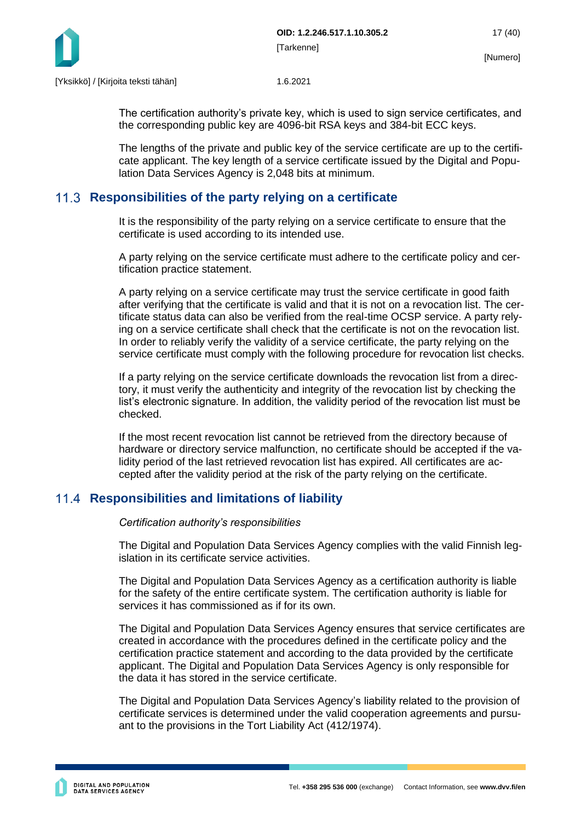

The certification authority's private key, which is used to sign service certificates, and the corresponding public key are 4096-bit RSA keys and 384-bit ECC keys.

The lengths of the private and public key of the service certificate are up to the certificate applicant. The key length of a service certificate issued by the Digital and Population Data Services Agency is 2,048 bits at minimum.

# <span id="page-17-0"></span>**Responsibilities of the party relying on a certificate**

It is the responsibility of the party relying on a service certificate to ensure that the certificate is used according to its intended use.

A party relying on the service certificate must adhere to the certificate policy and certification practice statement.

A party relying on a service certificate may trust the service certificate in good faith after verifying that the certificate is valid and that it is not on a revocation list. The certificate status data can also be verified from the real-time OCSP service. A party relying on a service certificate shall check that the certificate is not on the revocation list. In order to reliably verify the validity of a service certificate, the party relying on the service certificate must comply with the following procedure for revocation list checks.

If a party relying on the service certificate downloads the revocation list from a directory, it must verify the authenticity and integrity of the revocation list by checking the list's electronic signature. In addition, the validity period of the revocation list must be checked.

If the most recent revocation list cannot be retrieved from the directory because of hardware or directory service malfunction, no certificate should be accepted if the validity period of the last retrieved revocation list has expired. All certificates are accepted after the validity period at the risk of the party relying on the certificate.

# <span id="page-17-1"></span>**Responsibilities and limitations of liability**

*Certification authority's responsibilities*

The Digital and Population Data Services Agency complies with the valid Finnish legislation in its certificate service activities.

The Digital and Population Data Services Agency as a certification authority is liable for the safety of the entire certificate system. The certification authority is liable for services it has commissioned as if for its own.

The Digital and Population Data Services Agency ensures that service certificates are created in accordance with the procedures defined in the certificate policy and the certification practice statement and according to the data provided by the certificate applicant. The Digital and Population Data Services Agency is only responsible for the data it has stored in the service certificate.

The Digital and Population Data Services Agency's liability related to the provision of certificate services is determined under the valid cooperation agreements and pursuant to the provisions in the Tort Liability Act (412/1974).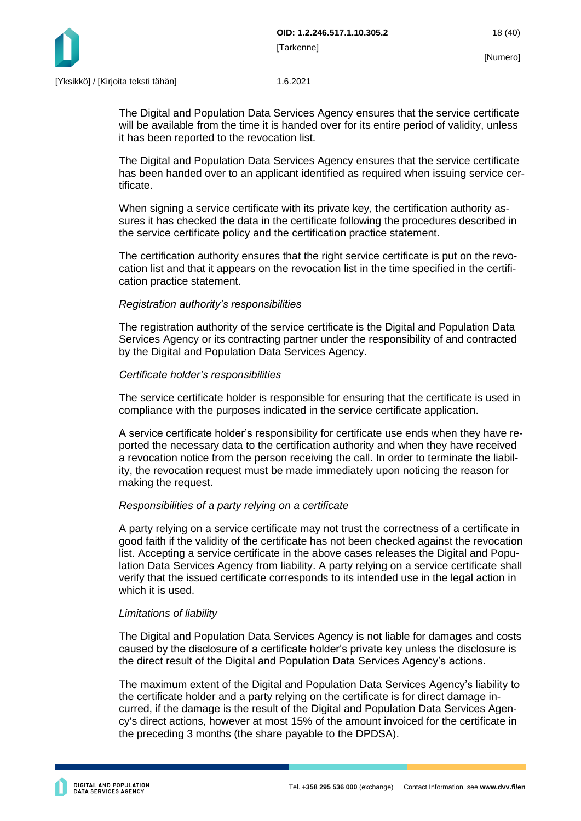

The Digital and Population Data Services Agency ensures that the service certificate will be available from the time it is handed over for its entire period of validity, unless it has been reported to the revocation list.

The Digital and Population Data Services Agency ensures that the service certificate has been handed over to an applicant identified as required when issuing service certificate.

When signing a service certificate with its private key, the certification authority assures it has checked the data in the certificate following the procedures described in the service certificate policy and the certification practice statement.

The certification authority ensures that the right service certificate is put on the revocation list and that it appears on the revocation list in the time specified in the certification practice statement.

#### *Registration authority's responsibilities*

The registration authority of the service certificate is the Digital and Population Data Services Agency or its contracting partner under the responsibility of and contracted by the Digital and Population Data Services Agency.

#### *Certificate holder's responsibilities*

The service certificate holder is responsible for ensuring that the certificate is used in compliance with the purposes indicated in the service certificate application.

A service certificate holder's responsibility for certificate use ends when they have reported the necessary data to the certification authority and when they have received a revocation notice from the person receiving the call. In order to terminate the liability, the revocation request must be made immediately upon noticing the reason for making the request.

## *Responsibilities of a party relying on a certificate*

A party relying on a service certificate may not trust the correctness of a certificate in good faith if the validity of the certificate has not been checked against the revocation list. Accepting a service certificate in the above cases releases the Digital and Population Data Services Agency from liability. A party relying on a service certificate shall verify that the issued certificate corresponds to its intended use in the legal action in which it is used.

## *Limitations of liability*

The Digital and Population Data Services Agency is not liable for damages and costs caused by the disclosure of a certificate holder's private key unless the disclosure is the direct result of the Digital and Population Data Services Agency's actions.

The maximum extent of the Digital and Population Data Services Agency's liability to the certificate holder and a party relying on the certificate is for direct damage incurred, if the damage is the result of the Digital and Population Data Services Agency's direct actions, however at most 15% of the amount invoiced for the certificate in the preceding 3 months (the share payable to the DPDSA).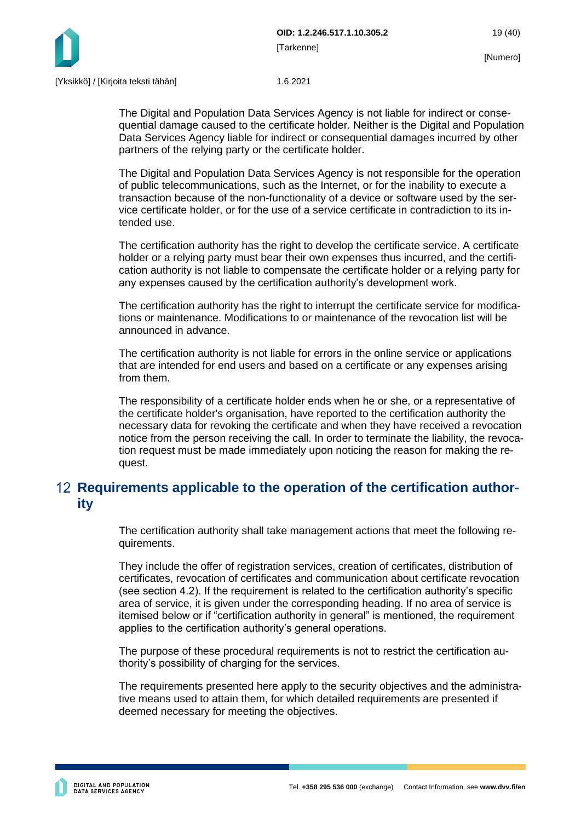

The Digital and Population Data Services Agency is not liable for indirect or consequential damage caused to the certificate holder. Neither is the Digital and Population Data Services Agency liable for indirect or consequential damages incurred by other partners of the relying party or the certificate holder.

The Digital and Population Data Services Agency is not responsible for the operation of public telecommunications, such as the Internet, or for the inability to execute a transaction because of the non-functionality of a device or software used by the service certificate holder, or for the use of a service certificate in contradiction to its intended use.

The certification authority has the right to develop the certificate service. A certificate holder or a relying party must bear their own expenses thus incurred, and the certification authority is not liable to compensate the certificate holder or a relying party for any expenses caused by the certification authority's development work.

The certification authority has the right to interrupt the certificate service for modifications or maintenance. Modifications to or maintenance of the revocation list will be announced in advance.

The certification authority is not liable for errors in the online service or applications that are intended for end users and based on a certificate or any expenses arising from them.

The responsibility of a certificate holder ends when he or she, or a representative of the certificate holder's organisation, have reported to the certification authority the necessary data for revoking the certificate and when they have received a revocation notice from the person receiving the call. In order to terminate the liability, the revocation request must be made immediately upon noticing the reason for making the request.

# <span id="page-19-0"></span>**Requirements applicable to the operation of the certification authority**

The certification authority shall take management actions that meet the following requirements.

They include the offer of registration services, creation of certificates, distribution of certificates, revocation of certificates and communication about certificate revocation (see section 4.2). If the requirement is related to the certification authority's specific area of service, it is given under the corresponding heading. If no area of service is itemised below or if "certification authority in general" is mentioned, the requirement applies to the certification authority's general operations.

The purpose of these procedural requirements is not to restrict the certification authority's possibility of charging for the services.

The requirements presented here apply to the security objectives and the administrative means used to attain them, for which detailed requirements are presented if deemed necessary for meeting the objectives.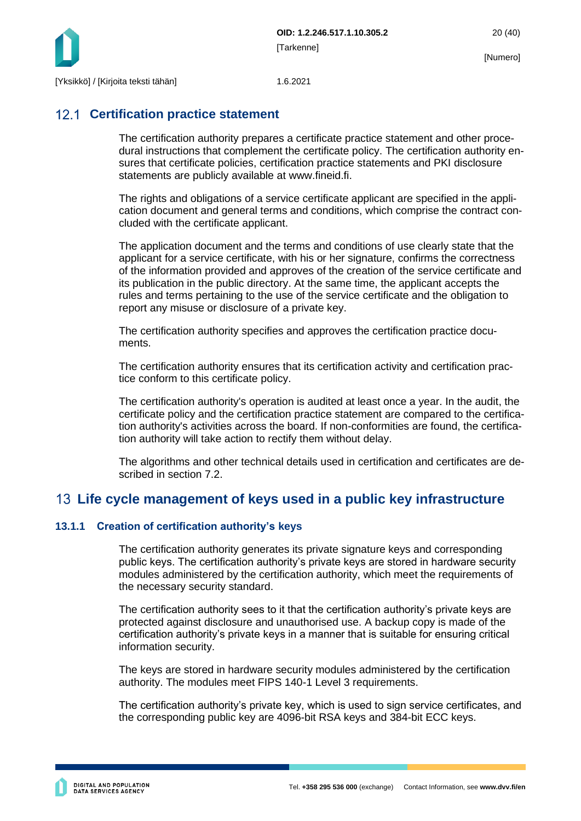

# <span id="page-20-0"></span>**12.1 Certification practice statement**

The certification authority prepares a certificate practice statement and other procedural instructions that complement the certificate policy. The certification authority ensures that certificate policies, certification practice statements and PKI disclosure statements are publicly available at www.fineid.fi.

The rights and obligations of a service certificate applicant are specified in the application document and general terms and conditions, which comprise the contract concluded with the certificate applicant.

The application document and the terms and conditions of use clearly state that the applicant for a service certificate, with his or her signature, confirms the correctness of the information provided and approves of the creation of the service certificate and its publication in the public directory. At the same time, the applicant accepts the rules and terms pertaining to the use of the service certificate and the obligation to report any misuse or disclosure of a private key.

The certification authority specifies and approves the certification practice documents.

The certification authority ensures that its certification activity and certification practice conform to this certificate policy.

The certification authority's operation is audited at least once a year. In the audit, the certificate policy and the certification practice statement are compared to the certification authority's activities across the board. If non-conformities are found, the certification authority will take action to rectify them without delay.

The algorithms and other technical details used in certification and certificates are described in section 7.2.

# <span id="page-20-1"></span>**Life cycle management of keys used in a public key infrastructure**

## <span id="page-20-2"></span>**13.1.1 Creation of certification authority's keys**

The certification authority generates its private signature keys and corresponding public keys. The certification authority's private keys are stored in hardware security modules administered by the certification authority, which meet the requirements of the necessary security standard.

The certification authority sees to it that the certification authority's private keys are protected against disclosure and unauthorised use. A backup copy is made of the certification authority's private keys in a manner that is suitable for ensuring critical information security.

The keys are stored in hardware security modules administered by the certification authority. The modules meet FIPS 140-1 Level 3 requirements.

The certification authority's private key, which is used to sign service certificates, and the corresponding public key are 4096-bit RSA keys and 384-bit ECC keys.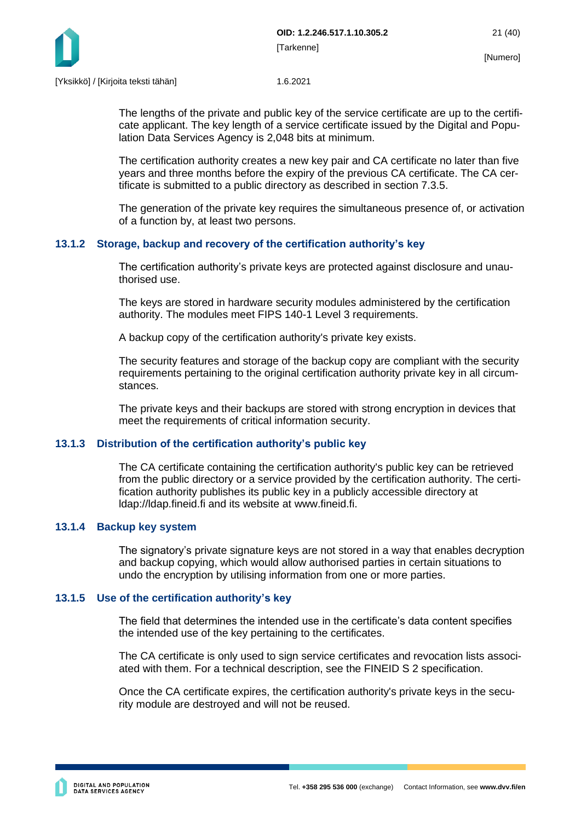

The lengths of the private and public key of the service certificate are up to the certificate applicant. The key length of a service certificate issued by the Digital and Population Data Services Agency is 2,048 bits at minimum.

The certification authority creates a new key pair and CA certificate no later than five years and three months before the expiry of the previous CA certificate. The CA certificate is submitted to a public directory as described in section 7.3.5.

The generation of the private key requires the simultaneous presence of, or activation of a function by, at least two persons.

## <span id="page-21-0"></span>**13.1.2 Storage, backup and recovery of the certification authority's key**

The certification authority's private keys are protected against disclosure and unauthorised use.

The keys are stored in hardware security modules administered by the certification authority. The modules meet FIPS 140-1 Level 3 requirements.

A backup copy of the certification authority's private key exists.

The security features and storage of the backup copy are compliant with the security requirements pertaining to the original certification authority private key in all circumstances.

The private keys and their backups are stored with strong encryption in devices that meet the requirements of critical information security.

## <span id="page-21-1"></span>**13.1.3 Distribution of the certification authority's public key**

The CA certificate containing the certification authority's public key can be retrieved from the public directory or a service provided by the certification authority. The certification authority publishes its public key in a publicly accessible directory at ldap://ldap.fineid.fi and its website at www.fineid.fi.

## <span id="page-21-2"></span>**13.1.4 Backup key system**

The signatory's private signature keys are not stored in a way that enables decryption and backup copying, which would allow authorised parties in certain situations to undo the encryption by utilising information from one or more parties.

## <span id="page-21-3"></span>**13.1.5 Use of the certification authority's key**

The field that determines the intended use in the certificate's data content specifies the intended use of the key pertaining to the certificates.

The CA certificate is only used to sign service certificates and revocation lists associated with them. For a technical description, see the FINEID S 2 specification.

Once the CA certificate expires, the certification authority's private keys in the security module are destroyed and will not be reused.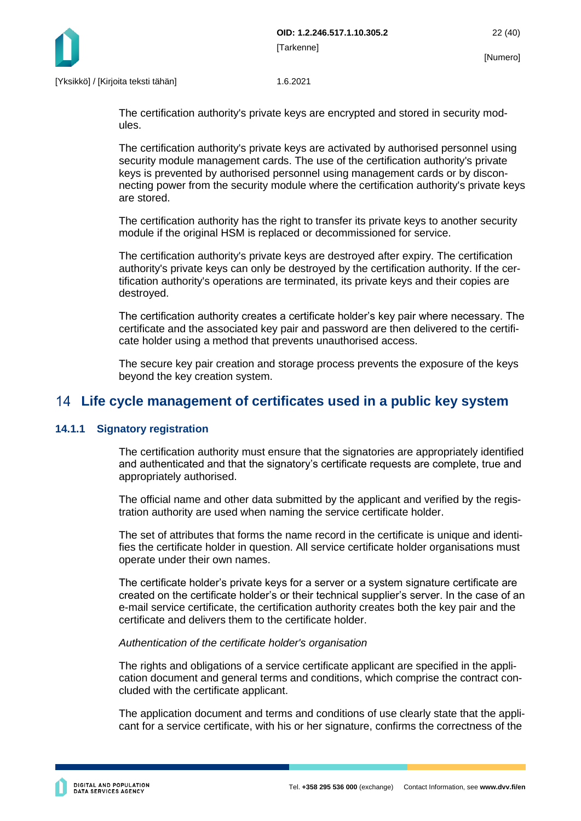

The certification authority's private keys are encrypted and stored in security modules.

The certification authority's private keys are activated by authorised personnel using security module management cards. The use of the certification authority's private keys is prevented by authorised personnel using management cards or by disconnecting power from the security module where the certification authority's private keys are stored.

The certification authority has the right to transfer its private keys to another security module if the original HSM is replaced or decommissioned for service.

The certification authority's private keys are destroyed after expiry. The certification authority's private keys can only be destroyed by the certification authority. If the certification authority's operations are terminated, its private keys and their copies are destroyed.

The certification authority creates a certificate holder's key pair where necessary. The certificate and the associated key pair and password are then delivered to the certificate holder using a method that prevents unauthorised access.

The secure key pair creation and storage process prevents the exposure of the keys beyond the key creation system.

# <span id="page-22-0"></span>**Life cycle management of certificates used in a public key system**

## <span id="page-22-1"></span>**14.1.1 Signatory registration**

The certification authority must ensure that the signatories are appropriately identified and authenticated and that the signatory's certificate requests are complete, true and appropriately authorised.

The official name and other data submitted by the applicant and verified by the registration authority are used when naming the service certificate holder.

The set of attributes that forms the name record in the certificate is unique and identifies the certificate holder in question. All service certificate holder organisations must operate under their own names.

The certificate holder's private keys for a server or a system signature certificate are created on the certificate holder's or their technical supplier's server. In the case of an e-mail service certificate, the certification authority creates both the key pair and the certificate and delivers them to the certificate holder.

## *Authentication of the certificate holder's organisation*

The rights and obligations of a service certificate applicant are specified in the application document and general terms and conditions, which comprise the contract concluded with the certificate applicant.

The application document and terms and conditions of use clearly state that the applicant for a service certificate, with his or her signature, confirms the correctness of the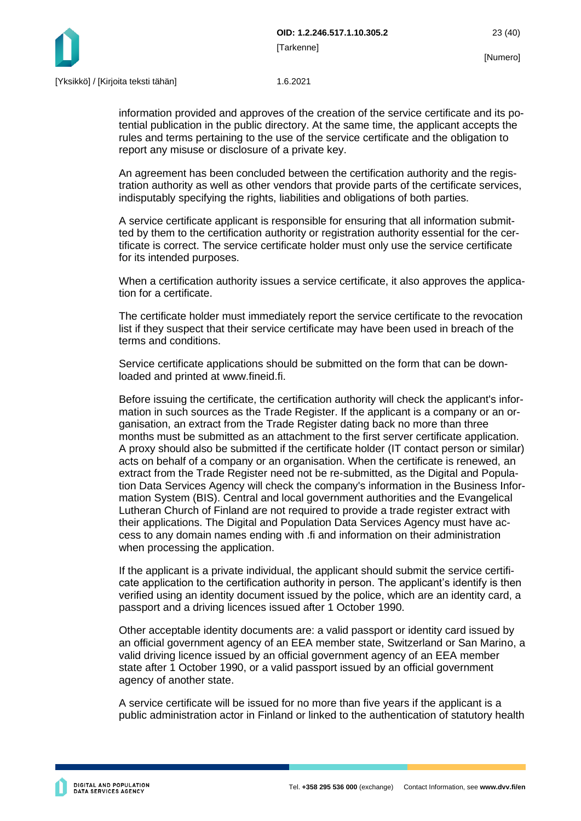



information provided and approves of the creation of the service certificate and its potential publication in the public directory. At the same time, the applicant accepts the rules and terms pertaining to the use of the service certificate and the obligation to report any misuse or disclosure of a private key.

An agreement has been concluded between the certification authority and the registration authority as well as other vendors that provide parts of the certificate services, indisputably specifying the rights, liabilities and obligations of both parties.

A service certificate applicant is responsible for ensuring that all information submitted by them to the certification authority or registration authority essential for the certificate is correct. The service certificate holder must only use the service certificate for its intended purposes.

When a certification authority issues a service certificate, it also approves the application for a certificate.

The certificate holder must immediately report the service certificate to the revocation list if they suspect that their service certificate may have been used in breach of the terms and conditions.

Service certificate applications should be submitted on the form that can be downloaded and printed at www.fineid.fi.

Before issuing the certificate, the certification authority will check the applicant's information in such sources as the Trade Register. If the applicant is a company or an organisation, an extract from the Trade Register dating back no more than three months must be submitted as an attachment to the first server certificate application. A proxy should also be submitted if the certificate holder (IT contact person or similar) acts on behalf of a company or an organisation. When the certificate is renewed, an extract from the Trade Register need not be re-submitted, as the Digital and Population Data Services Agency will check the company's information in the Business Information System (BIS). Central and local government authorities and the Evangelical Lutheran Church of Finland are not required to provide a trade register extract with their applications. The Digital and Population Data Services Agency must have access to any domain names ending with .fi and information on their administration when processing the application.

If the applicant is a private individual, the applicant should submit the service certificate application to the certification authority in person. The applicant's identify is then verified using an identity document issued by the police, which are an identity card, a passport and a driving licences issued after 1 October 1990.

Other acceptable identity documents are: a valid passport or identity card issued by an official government agency of an EEA member state, Switzerland or San Marino, a valid driving licence issued by an official government agency of an EEA member state after 1 October 1990, or a valid passport issued by an official government agency of another state.

A service certificate will be issued for no more than five years if the applicant is a public administration actor in Finland or linked to the authentication of statutory health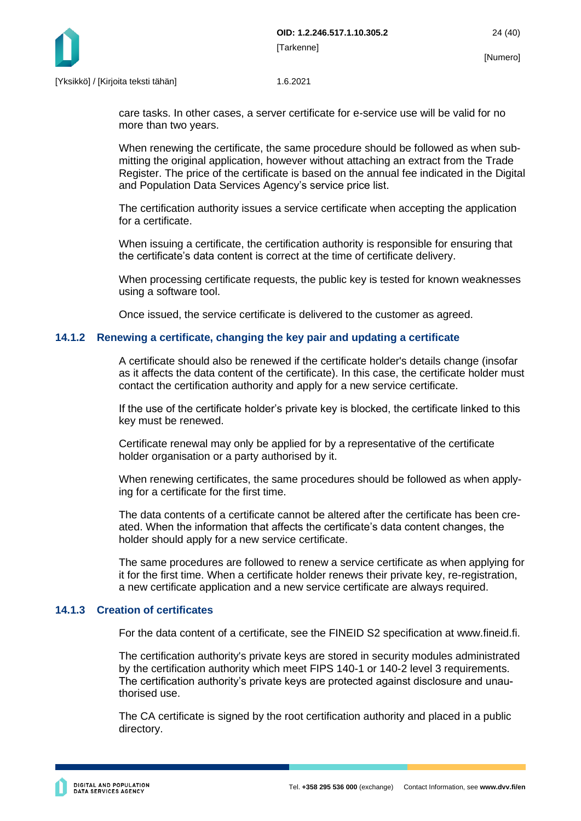

care tasks. In other cases, a server certificate for e-service use will be valid for no more than two years.

When renewing the certificate, the same procedure should be followed as when submitting the original application, however without attaching an extract from the Trade Register. The price of the certificate is based on the annual fee indicated in the Digital and Population Data Services Agency's service price list.

The certification authority issues a service certificate when accepting the application for a certificate.

When issuing a certificate, the certification authority is responsible for ensuring that the certificate's data content is correct at the time of certificate delivery.

When processing certificate requests, the public key is tested for known weaknesses using a software tool.

Once issued, the service certificate is delivered to the customer as agreed.

#### <span id="page-24-0"></span>**14.1.2 Renewing a certificate, changing the key pair and updating a certificate**

A certificate should also be renewed if the certificate holder's details change (insofar as it affects the data content of the certificate). In this case, the certificate holder must contact the certification authority and apply for a new service certificate.

If the use of the certificate holder's private key is blocked, the certificate linked to this key must be renewed.

Certificate renewal may only be applied for by a representative of the certificate holder organisation or a party authorised by it.

When renewing certificates, the same procedures should be followed as when applying for a certificate for the first time.

The data contents of a certificate cannot be altered after the certificate has been created. When the information that affects the certificate's data content changes, the holder should apply for a new service certificate.

The same procedures are followed to renew a service certificate as when applying for it for the first time. When a certificate holder renews their private key, re-registration, a new certificate application and a new service certificate are always required.

#### <span id="page-24-1"></span>**14.1.3 Creation of certificates**

For the data content of a certificate, see the FINEID S2 specification at www.fineid.fi.

The certification authority's private keys are stored in security modules administrated by the certification authority which meet FIPS 140-1 or 140-2 level 3 requirements. The certification authority's private keys are protected against disclosure and unauthorised use.

The CA certificate is signed by the root certification authority and placed in a public directory.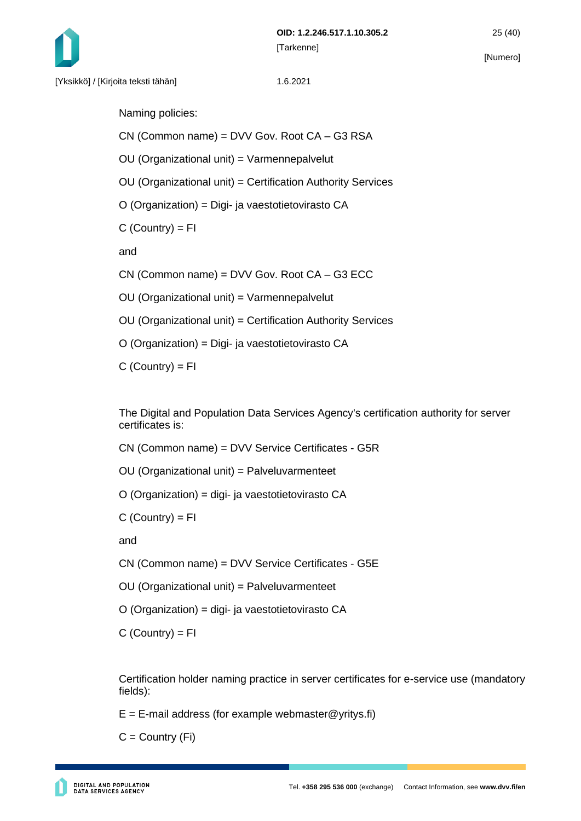

Naming policies:

CN (Common name) = DVV Gov. Root CA – G3 RSA

OU (Organizational unit) = Varmennepalvelut

OU (Organizational unit) = Certification Authority Services

O (Organization) = Digi- ja vaestotietovirasto CA

 $C$  (Country) =  $FI$ 

and

CN (Common name) = DVV Gov. Root CA – G3 ECC

OU (Organizational unit) = Varmennepalvelut

OU (Organizational unit) = Certification Authority Services

O (Organization) = Digi- ja vaestotietovirasto CA

 $C$  (Country) =  $FI$ 

The Digital and Population Data Services Agency's certification authority for server certificates is:

CN (Common name) = DVV Service Certificates - G5R

OU (Organizational unit) = Palveluvarmenteet

O (Organization) = digi- ja vaestotietovirasto CA

 $C$  (Country) =  $FI$ 

and

CN (Common name) = DVV Service Certificates - G5E

OU (Organizational unit) = Palveluvarmenteet

O (Organization) = digi- ja vaestotietovirasto CA

 $C$  (Country) = FI

Certification holder naming practice in server certificates for e-service use (mandatory fields):

 $E = E$ -mail address (for example webmaster @yritys.fi)

 $C =$  Country  $(Fi)$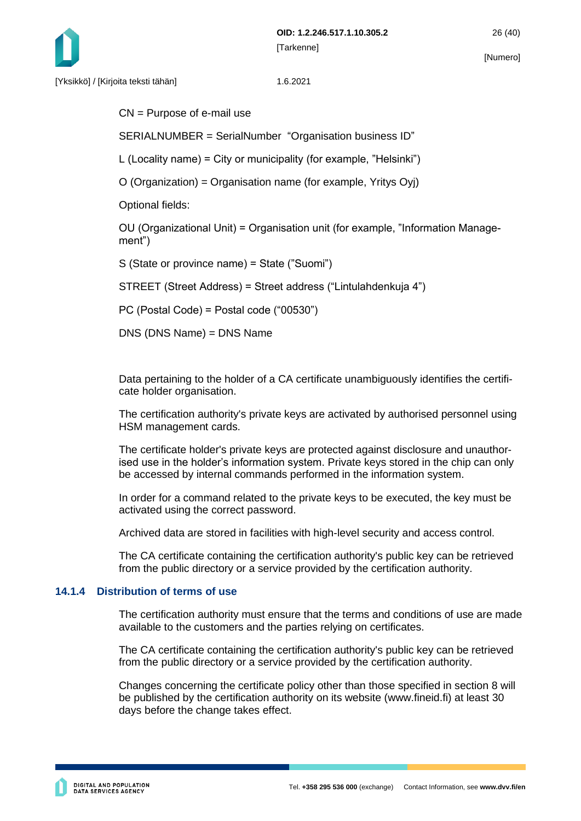

CN = Purpose of e-mail use

SERIALNUMBER = SerialNumber "Organisation business ID"

L (Locality name) = City or municipality (for example, "Helsinki")

O (Organization) = Organisation name (for example, Yritys Oyj)

Optional fields:

OU (Organizational Unit) = Organisation unit (for example, "Information Management")

S (State or province name) = State ("Suomi")

STREET (Street Address) = Street address ("Lintulahdenkuja 4")

PC (Postal Code) = Postal code ("00530")

DNS (DNS Name) = DNS Name

Data pertaining to the holder of a CA certificate unambiguously identifies the certificate holder organisation.

The certification authority's private keys are activated by authorised personnel using HSM management cards.

The certificate holder's private keys are protected against disclosure and unauthorised use in the holder's information system. Private keys stored in the chip can only be accessed by internal commands performed in the information system.

In order for a command related to the private keys to be executed, the key must be activated using the correct password.

Archived data are stored in facilities with high-level security and access control.

The CA certificate containing the certification authority's public key can be retrieved from the public directory or a service provided by the certification authority.

#### <span id="page-26-0"></span>**14.1.4 Distribution of terms of use**

The certification authority must ensure that the terms and conditions of use are made available to the customers and the parties relying on certificates.

The CA certificate containing the certification authority's public key can be retrieved from the public directory or a service provided by the certification authority.

Changes concerning the certificate policy other than those specified in section 8 will be published by the certification authority on its website (www.fineid.fi) at least 30 days before the change takes effect.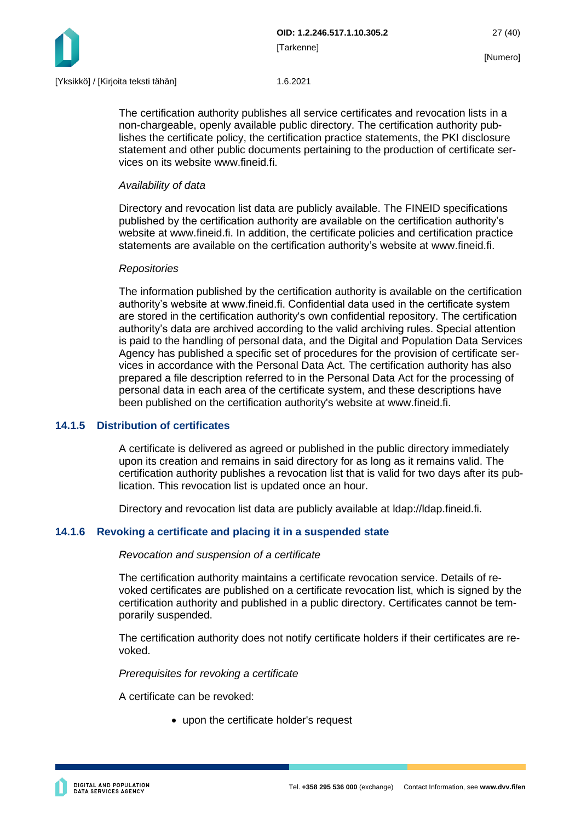

The certification authority publishes all service certificates and revocation lists in a non-chargeable, openly available public directory. The certification authority publishes the certificate policy, the certification practice statements, the PKI disclosure statement and other public documents pertaining to the production of certificate services on its website www.fineid.fi.

## *Availability of data*

Directory and revocation list data are publicly available. The FINEID specifications published by the certification authority are available on the certification authority's website at www.fineid.fi. In addition, the certificate policies and certification practice statements are available on the certification authority's website at www.fineid.fi.

## *Repositories*

The information published by the certification authority is available on the certification authority's website at www.fineid.fi. Confidential data used in the certificate system are stored in the certification authority's own confidential repository. The certification authority's data are archived according to the valid archiving rules. Special attention is paid to the handling of personal data, and the Digital and Population Data Services Agency has published a specific set of procedures for the provision of certificate services in accordance with the Personal Data Act. The certification authority has also prepared a file description referred to in the Personal Data Act for the processing of personal data in each area of the certificate system, and these descriptions have been published on the certification authority's website at www.fineid.fi.

## <span id="page-27-0"></span>**14.1.5 Distribution of certificates**

A certificate is delivered as agreed or published in the public directory immediately upon its creation and remains in said directory for as long as it remains valid. The certification authority publishes a revocation list that is valid for two days after its publication. This revocation list is updated once an hour.

Directory and revocation list data are publicly available at ldap://ldap.fineid.fi.

## <span id="page-27-1"></span>**14.1.6 Revoking a certificate and placing it in a suspended state**

#### *Revocation and suspension of a certificate*

The certification authority maintains a certificate revocation service. Details of revoked certificates are published on a certificate revocation list, which is signed by the certification authority and published in a public directory. Certificates cannot be temporarily suspended.

The certification authority does not notify certificate holders if their certificates are revoked.

*Prerequisites for revoking a certificate*

A certificate can be revoked:

• upon the certificate holder's request

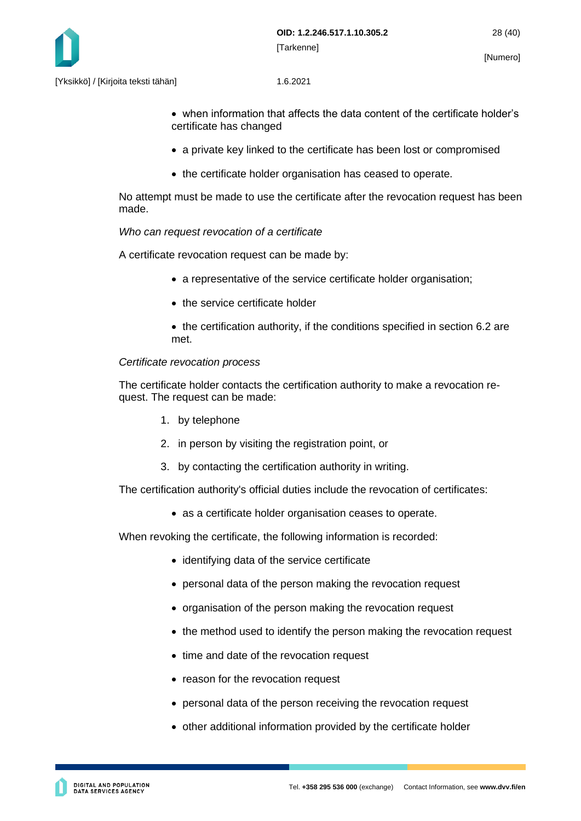

- when information that affects the data content of the certificate holder's certificate has changed
- a private key linked to the certificate has been lost or compromised
- the certificate holder organisation has ceased to operate.

No attempt must be made to use the certificate after the revocation request has been made.

#### *Who can request revocation of a certificate*

A certificate revocation request can be made by:

- a representative of the service certificate holder organisation;
- the service certificate holder
- the certification authority, if the conditions specified in section 6.2 are met.

#### *Certificate revocation process*

The certificate holder contacts the certification authority to make a revocation request. The request can be made:

- 1. by telephone
- 2. in person by visiting the registration point, or
- 3. by contacting the certification authority in writing.

The certification authority's official duties include the revocation of certificates:

• as a certificate holder organisation ceases to operate.

When revoking the certificate, the following information is recorded:

- identifying data of the service certificate
- personal data of the person making the revocation request
- organisation of the person making the revocation request
- the method used to identify the person making the revocation request
- time and date of the revocation request
- reason for the revocation request
- personal data of the person receiving the revocation request
- other additional information provided by the certificate holder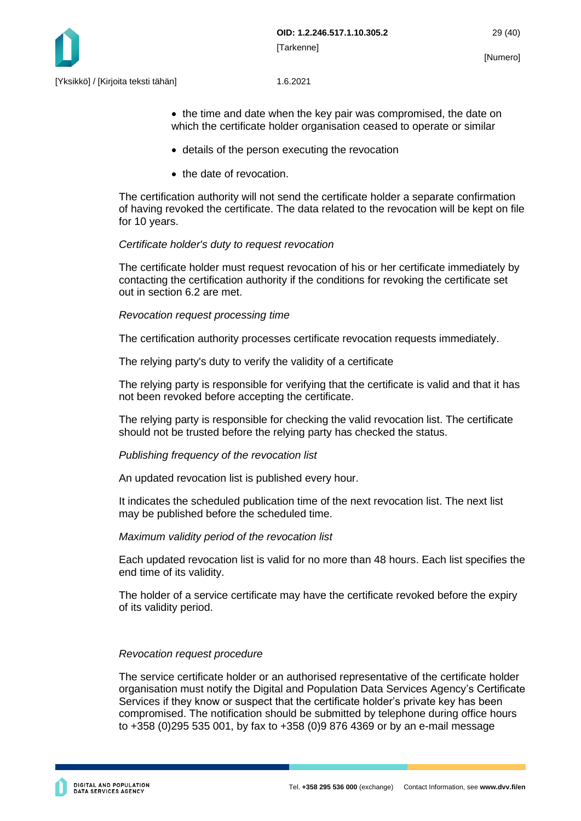

• the time and date when the key pair was compromised, the date on which the certificate holder organisation ceased to operate or similar

- details of the person executing the revocation
- the date of revocation.

The certification authority will not send the certificate holder a separate confirmation of having revoked the certificate. The data related to the revocation will be kept on file for 10 years.

#### *Certificate holder's duty to request revocation*

The certificate holder must request revocation of his or her certificate immediately by contacting the certification authority if the conditions for revoking the certificate set out in section 6.2 are met.

#### *Revocation request processing time*

The certification authority processes certificate revocation requests immediately.

The relying party's duty to verify the validity of a certificate

The relying party is responsible for verifying that the certificate is valid and that it has not been revoked before accepting the certificate.

The relying party is responsible for checking the valid revocation list. The certificate should not be trusted before the relying party has checked the status.

#### *Publishing frequency of the revocation list*

An updated revocation list is published every hour.

It indicates the scheduled publication time of the next revocation list. The next list may be published before the scheduled time.

#### *Maximum validity period of the revocation list*

Each updated revocation list is valid for no more than 48 hours. Each list specifies the end time of its validity.

The holder of a service certificate may have the certificate revoked before the expiry of its validity period.

#### *Revocation request procedure*

The service certificate holder or an authorised representative of the certificate holder organisation must notify the Digital and Population Data Services Agency's Certificate Services if they know or suspect that the certificate holder's private key has been compromised. The notification should be submitted by telephone during office hours to +358 (0)295 535 001, by fax to +358 (0)9 876 4369 or by an e-mail message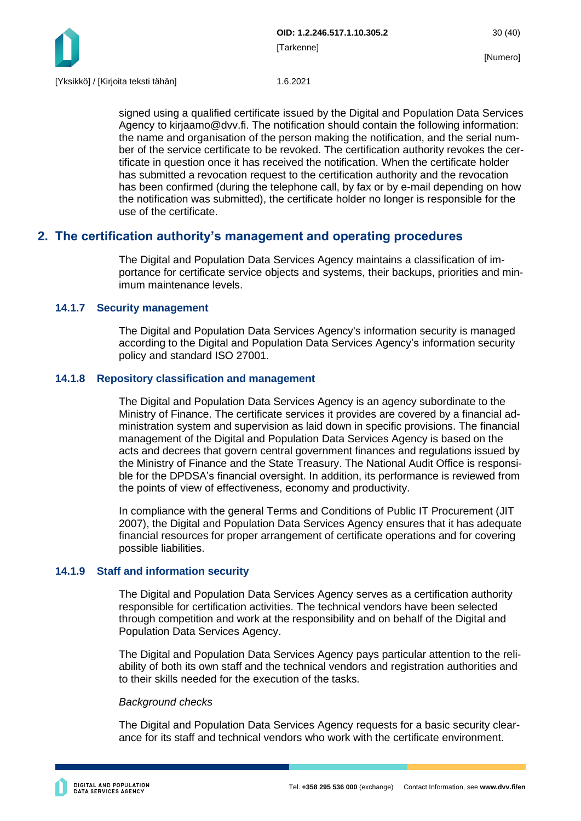

signed using a qualified certificate issued by the Digital and Population Data Services Agency to kirjaamo@dvv.fi. The notification should contain the following information: the name and organisation of the person making the notification, and the serial number of the service certificate to be revoked. The certification authority revokes the certificate in question once it has received the notification. When the certificate holder has submitted a revocation request to the certification authority and the revocation has been confirmed (during the telephone call, by fax or by e-mail depending on how the notification was submitted), the certificate holder no longer is responsible for the use of the certificate.

## <span id="page-30-0"></span>**2. The certification authority's management and operating procedures**

The Digital and Population Data Services Agency maintains a classification of importance for certificate service objects and systems, their backups, priorities and minimum maintenance levels.

## <span id="page-30-1"></span>**14.1.7 Security management**

The Digital and Population Data Services Agency's information security is managed according to the Digital and Population Data Services Agency's information security policy and standard ISO 27001.

## <span id="page-30-2"></span>**14.1.8 Repository classification and management**

The Digital and Population Data Services Agency is an agency subordinate to the Ministry of Finance. The certificate services it provides are covered by a financial administration system and supervision as laid down in specific provisions. The financial management of the Digital and Population Data Services Agency is based on the acts and decrees that govern central government finances and regulations issued by the Ministry of Finance and the State Treasury. The National Audit Office is responsible for the DPDSA's financial oversight. In addition, its performance is reviewed from the points of view of effectiveness, economy and productivity.

In compliance with the general Terms and Conditions of Public IT Procurement (JIT 2007), the Digital and Population Data Services Agency ensures that it has adequate financial resources for proper arrangement of certificate operations and for covering possible liabilities.

## <span id="page-30-3"></span>**14.1.9 Staff and information security**

The Digital and Population Data Services Agency serves as a certification authority responsible for certification activities. The technical vendors have been selected through competition and work at the responsibility and on behalf of the Digital and Population Data Services Agency.

The Digital and Population Data Services Agency pays particular attention to the reliability of both its own staff and the technical vendors and registration authorities and to their skills needed for the execution of the tasks.

## *Background checks*

The Digital and Population Data Services Agency requests for a basic security clearance for its staff and technical vendors who work with the certificate environment.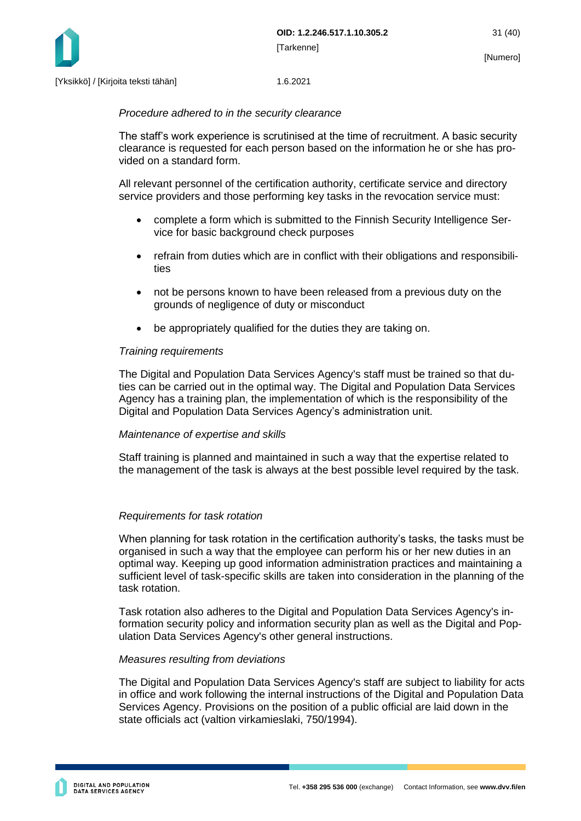

#### *Procedure adhered to in the security clearance*

The staff's work experience is scrutinised at the time of recruitment. A basic security clearance is requested for each person based on the information he or she has provided on a standard form.

All relevant personnel of the certification authority, certificate service and directory service providers and those performing key tasks in the revocation service must:

- complete a form which is submitted to the Finnish Security Intelligence Service for basic background check purposes
- refrain from duties which are in conflict with their obligations and responsibilities
- not be persons known to have been released from a previous duty on the grounds of negligence of duty or misconduct
- be appropriately qualified for the duties they are taking on.

#### *Training requirements*

The Digital and Population Data Services Agency's staff must be trained so that duties can be carried out in the optimal way. The Digital and Population Data Services Agency has a training plan, the implementation of which is the responsibility of the Digital and Population Data Services Agency's administration unit.

#### *Maintenance of expertise and skills*

Staff training is planned and maintained in such a way that the expertise related to the management of the task is always at the best possible level required by the task.

#### *Requirements for task rotation*

When planning for task rotation in the certification authority's tasks, the tasks must be organised in such a way that the employee can perform his or her new duties in an optimal way. Keeping up good information administration practices and maintaining a sufficient level of task-specific skills are taken into consideration in the planning of the task rotation.

Task rotation also adheres to the Digital and Population Data Services Agency's information security policy and information security plan as well as the Digital and Population Data Services Agency's other general instructions.

#### *Measures resulting from deviations*

The Digital and Population Data Services Agency's staff are subject to liability for acts in office and work following the internal instructions of the Digital and Population Data Services Agency. Provisions on the position of a public official are laid down in the state officials act (valtion virkamieslaki, 750/1994).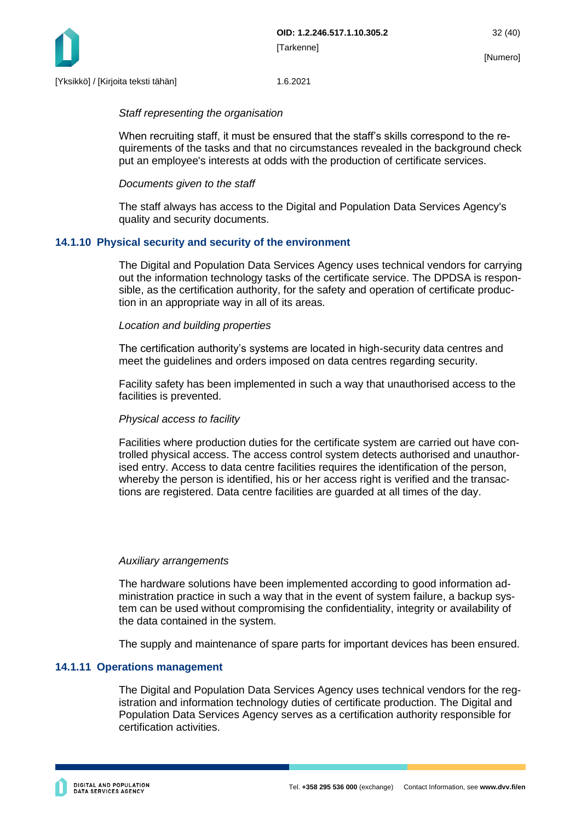

#### *Staff representing the organisation*

When recruiting staff, it must be ensured that the staff's skills correspond to the requirements of the tasks and that no circumstances revealed in the background check put an employee's interests at odds with the production of certificate services.

## *Documents given to the staff*

The staff always has access to the Digital and Population Data Services Agency's quality and security documents.

## <span id="page-32-0"></span>**14.1.10 Physical security and security of the environment**

The Digital and Population Data Services Agency uses technical vendors for carrying out the information technology tasks of the certificate service. The DPDSA is responsible, as the certification authority, for the safety and operation of certificate production in an appropriate way in all of its areas.

#### *Location and building properties*

The certification authority's systems are located in high-security data centres and meet the guidelines and orders imposed on data centres regarding security.

Facility safety has been implemented in such a way that unauthorised access to the facilities is prevented.

## *Physical access to facility*

Facilities where production duties for the certificate system are carried out have controlled physical access. The access control system detects authorised and unauthorised entry. Access to data centre facilities requires the identification of the person, whereby the person is identified, his or her access right is verified and the transactions are registered. Data centre facilities are guarded at all times of the day.

#### *Auxiliary arrangements*

The hardware solutions have been implemented according to good information administration practice in such a way that in the event of system failure, a backup system can be used without compromising the confidentiality, integrity or availability of the data contained in the system.

The supply and maintenance of spare parts for important devices has been ensured.

#### <span id="page-32-1"></span>**14.1.11 Operations management**

The Digital and Population Data Services Agency uses technical vendors for the registration and information technology duties of certificate production. The Digital and Population Data Services Agency serves as a certification authority responsible for certification activities.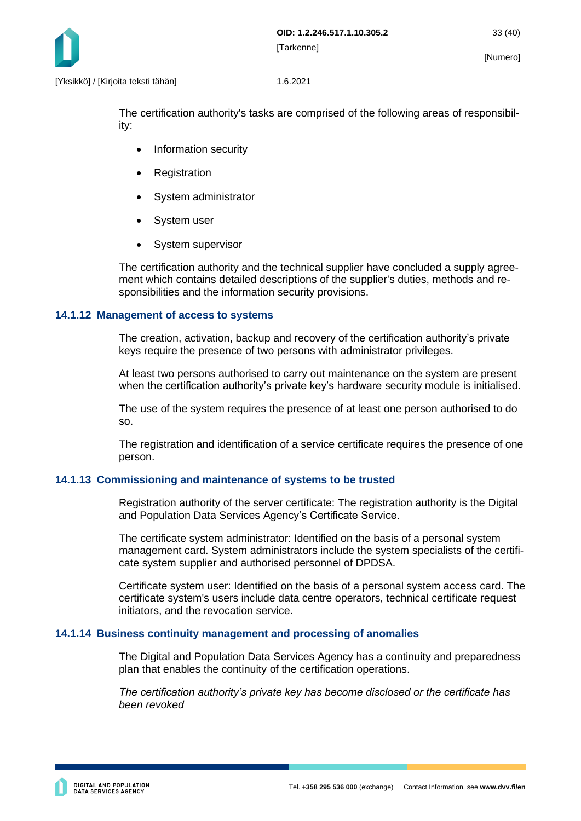

The certification authority's tasks are comprised of the following areas of responsibility:

- Information security
- **Registration**
- System administrator
- System user
- System supervisor

The certification authority and the technical supplier have concluded a supply agreement which contains detailed descriptions of the supplier's duties, methods and responsibilities and the information security provisions.

#### <span id="page-33-0"></span>**14.1.12 Management of access to systems**

The creation, activation, backup and recovery of the certification authority's private keys require the presence of two persons with administrator privileges.

At least two persons authorised to carry out maintenance on the system are present when the certification authority's private key's hardware security module is initialised.

The use of the system requires the presence of at least one person authorised to do so.

The registration and identification of a service certificate requires the presence of one person.

## <span id="page-33-1"></span>**14.1.13 Commissioning and maintenance of systems to be trusted**

Registration authority of the server certificate: The registration authority is the Digital and Population Data Services Agency's Certificate Service.

The certificate system administrator: Identified on the basis of a personal system management card. System administrators include the system specialists of the certificate system supplier and authorised personnel of DPDSA.

Certificate system user: Identified on the basis of a personal system access card. The certificate system's users include data centre operators, technical certificate request initiators, and the revocation service.

#### <span id="page-33-2"></span>**14.1.14 Business continuity management and processing of anomalies**

The Digital and Population Data Services Agency has a continuity and preparedness plan that enables the continuity of the certification operations.

*The certification authority's private key has become disclosed or the certificate has been revoked*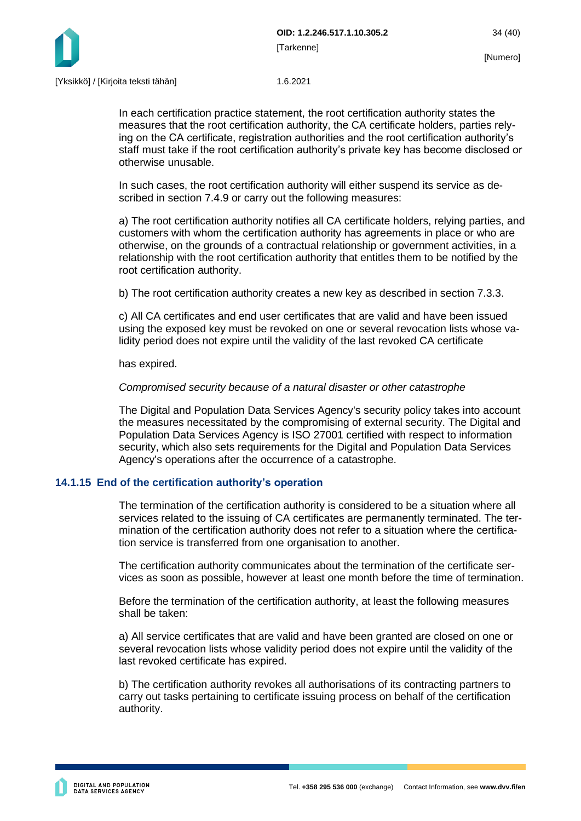

In each certification practice statement, the root certification authority states the measures that the root certification authority, the CA certificate holders, parties relying on the CA certificate, registration authorities and the root certification authority's staff must take if the root certification authority's private key has become disclosed or otherwise unusable.

In such cases, the root certification authority will either suspend its service as described in section 7.4.9 or carry out the following measures:

a) The root certification authority notifies all CA certificate holders, relying parties, and customers with whom the certification authority has agreements in place or who are otherwise, on the grounds of a contractual relationship or government activities, in a relationship with the root certification authority that entitles them to be notified by the root certification authority.

b) The root certification authority creates a new key as described in section 7.3.3.

c) All CA certificates and end user certificates that are valid and have been issued using the exposed key must be revoked on one or several revocation lists whose validity period does not expire until the validity of the last revoked CA certificate

has expired.

#### *Compromised security because of a natural disaster or other catastrophe*

The Digital and Population Data Services Agency's security policy takes into account the measures necessitated by the compromising of external security. The Digital and Population Data Services Agency is ISO 27001 certified with respect to information security, which also sets requirements for the Digital and Population Data Services Agency's operations after the occurrence of a catastrophe.

## <span id="page-34-0"></span>**14.1.15 End of the certification authority's operation**

The termination of the certification authority is considered to be a situation where all services related to the issuing of CA certificates are permanently terminated. The termination of the certification authority does not refer to a situation where the certification service is transferred from one organisation to another.

The certification authority communicates about the termination of the certificate services as soon as possible, however at least one month before the time of termination.

Before the termination of the certification authority, at least the following measures shall be taken:

a) All service certificates that are valid and have been granted are closed on one or several revocation lists whose validity period does not expire until the validity of the last revoked certificate has expired.

b) The certification authority revokes all authorisations of its contracting partners to carry out tasks pertaining to certificate issuing process on behalf of the certification authority.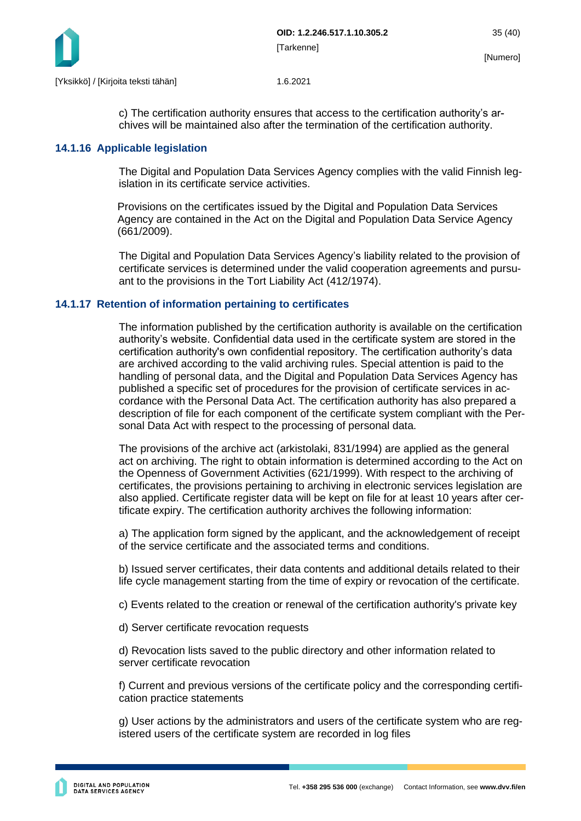

c) The certification authority ensures that access to the certification authority's archives will be maintained also after the termination of the certification authority.

## <span id="page-35-0"></span>**14.1.16 Applicable legislation**

The Digital and Population Data Services Agency complies with the valid Finnish legislation in its certificate service activities.

Provisions on the certificates issued by the Digital and Population Data Services Agency are contained in the Act on the Digital and Population Data Service Agency (661/2009).

The Digital and Population Data Services Agency's liability related to the provision of certificate services is determined under the valid cooperation agreements and pursuant to the provisions in the Tort Liability Act (412/1974).

## <span id="page-35-1"></span>**14.1.17 Retention of information pertaining to certificates**

The information published by the certification authority is available on the certification authority's website. Confidential data used in the certificate system are stored in the certification authority's own confidential repository. The certification authority's data are archived according to the valid archiving rules. Special attention is paid to the handling of personal data, and the Digital and Population Data Services Agency has published a specific set of procedures for the provision of certificate services in accordance with the Personal Data Act. The certification authority has also prepared a description of file for each component of the certificate system compliant with the Personal Data Act with respect to the processing of personal data.

The provisions of the archive act (arkistolaki, 831/1994) are applied as the general act on archiving. The right to obtain information is determined according to the Act on the Openness of Government Activities (621/1999). With respect to the archiving of certificates, the provisions pertaining to archiving in electronic services legislation are also applied. Certificate register data will be kept on file for at least 10 years after certificate expiry. The certification authority archives the following information:

a) The application form signed by the applicant, and the acknowledgement of receipt of the service certificate and the associated terms and conditions.

b) Issued server certificates, their data contents and additional details related to their life cycle management starting from the time of expiry or revocation of the certificate.

c) Events related to the creation or renewal of the certification authority's private key

d) Server certificate revocation requests

d) Revocation lists saved to the public directory and other information related to server certificate revocation

f) Current and previous versions of the certificate policy and the corresponding certification practice statements

g) User actions by the administrators and users of the certificate system who are registered users of the certificate system are recorded in log files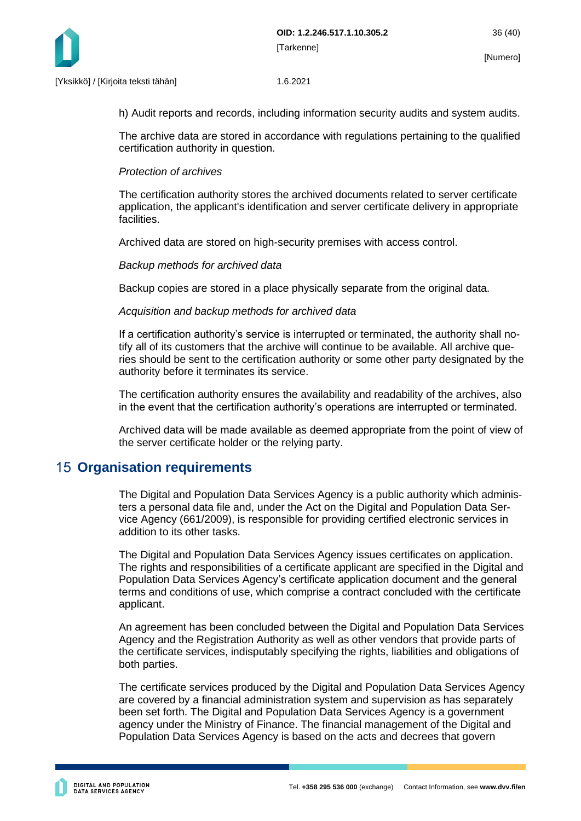

h) Audit reports and records, including information security audits and system audits.

The archive data are stored in accordance with regulations pertaining to the qualified certification authority in question.

## *Protection of archives*

The certification authority stores the archived documents related to server certificate application, the applicant's identification and server certificate delivery in appropriate facilities.

Archived data are stored on high-security premises with access control.

## *Backup methods for archived data*

Backup copies are stored in a place physically separate from the original data.

## *Acquisition and backup methods for archived data*

If a certification authority's service is interrupted or terminated, the authority shall notify all of its customers that the archive will continue to be available. All archive queries should be sent to the certification authority or some other party designated by the authority before it terminates its service.

The certification authority ensures the availability and readability of the archives, also in the event that the certification authority's operations are interrupted or terminated.

Archived data will be made available as deemed appropriate from the point of view of the server certificate holder or the relying party.

# <span id="page-36-0"></span>**15 Organisation requirements**

The Digital and Population Data Services Agency is a public authority which administers a personal data file and, under the Act on the Digital and Population Data Service Agency (661/2009), is responsible for providing certified electronic services in addition to its other tasks.

The Digital and Population Data Services Agency issues certificates on application. The rights and responsibilities of a certificate applicant are specified in the Digital and Population Data Services Agency's certificate application document and the general terms and conditions of use, which comprise a contract concluded with the certificate applicant.

An agreement has been concluded between the Digital and Population Data Services Agency and the Registration Authority as well as other vendors that provide parts of the certificate services, indisputably specifying the rights, liabilities and obligations of both parties.

The certificate services produced by the Digital and Population Data Services Agency are covered by a financial administration system and supervision as has separately been set forth. The Digital and Population Data Services Agency is a government agency under the Ministry of Finance. The financial management of the Digital and Population Data Services Agency is based on the acts and decrees that govern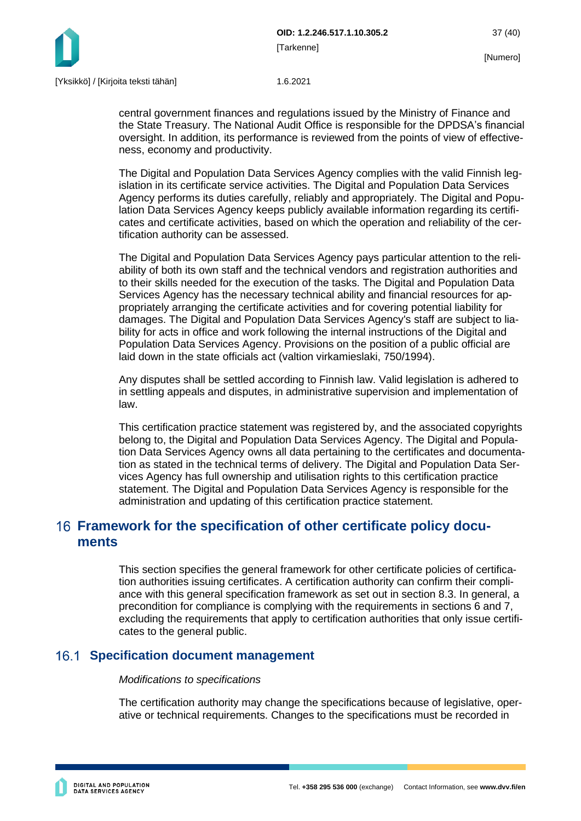

central government finances and regulations issued by the Ministry of Finance and the State Treasury. The National Audit Office is responsible for the DPDSA's financial oversight. In addition, its performance is reviewed from the points of view of effectiveness, economy and productivity.

The Digital and Population Data Services Agency complies with the valid Finnish legislation in its certificate service activities. The Digital and Population Data Services Agency performs its duties carefully, reliably and appropriately. The Digital and Population Data Services Agency keeps publicly available information regarding its certificates and certificate activities, based on which the operation and reliability of the certification authority can be assessed.

The Digital and Population Data Services Agency pays particular attention to the reliability of both its own staff and the technical vendors and registration authorities and to their skills needed for the execution of the tasks. The Digital and Population Data Services Agency has the necessary technical ability and financial resources for appropriately arranging the certificate activities and for covering potential liability for damages. The Digital and Population Data Services Agency's staff are subject to liability for acts in office and work following the internal instructions of the Digital and Population Data Services Agency. Provisions on the position of a public official are laid down in the state officials act (valtion virkamieslaki, 750/1994).

Any disputes shall be settled according to Finnish law. Valid legislation is adhered to in settling appeals and disputes, in administrative supervision and implementation of law.

This certification practice statement was registered by, and the associated copyrights belong to, the Digital and Population Data Services Agency. The Digital and Population Data Services Agency owns all data pertaining to the certificates and documentation as stated in the technical terms of delivery. The Digital and Population Data Services Agency has full ownership and utilisation rights to this certification practice statement. The Digital and Population Data Services Agency is responsible for the administration and updating of this certification practice statement.

# <span id="page-37-0"></span>**Framework for the specification of other certificate policy documents**

This section specifies the general framework for other certificate policies of certification authorities issuing certificates. A certification authority can confirm their compliance with this general specification framework as set out in section 8.3. In general, a precondition for compliance is complying with the requirements in sections 6 and 7, excluding the requirements that apply to certification authorities that only issue certificates to the general public.

# <span id="page-37-1"></span>**Specification document management**

## *Modifications to specifications*

The certification authority may change the specifications because of legislative, operative or technical requirements. Changes to the specifications must be recorded in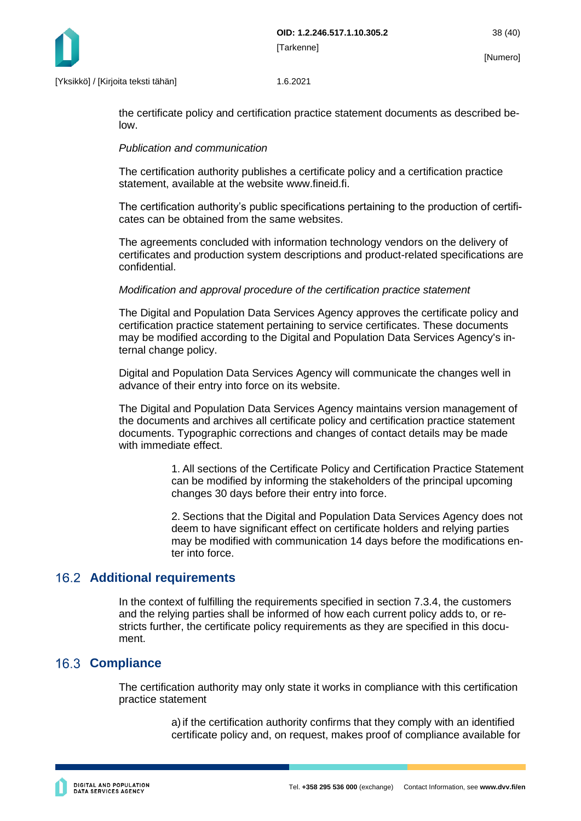

the certificate policy and certification practice statement documents as described below.

## *Publication and communication*

The certification authority publishes a certificate policy and a certification practice statement, available at the website www.fineid.fi.

The certification authority's public specifications pertaining to the production of certificates can be obtained from the same websites.

The agreements concluded with information technology vendors on the delivery of certificates and production system descriptions and product-related specifications are confidential.

## *Modification and approval procedure of the certification practice statement*

The Digital and Population Data Services Agency approves the certificate policy and certification practice statement pertaining to service certificates. These documents may be modified according to the Digital and Population Data Services Agency's internal change policy.

Digital and Population Data Services Agency will communicate the changes well in advance of their entry into force on its website.

The Digital and Population Data Services Agency maintains version management of the documents and archives all certificate policy and certification practice statement documents. Typographic corrections and changes of contact details may be made with immediate effect.

> 1. All sections of the Certificate Policy and Certification Practice Statement can be modified by informing the stakeholders of the principal upcoming changes 30 days before their entry into force.

> 2. Sections that the Digital and Population Data Services Agency does not deem to have significant effect on certificate holders and relying parties may be modified with communication 14 days before the modifications enter into force.

# <span id="page-38-0"></span>**Additional requirements**

In the context of fulfilling the requirements specified in section 7.3.4, the customers and the relying parties shall be informed of how each current policy adds to, or restricts further, the certificate policy requirements as they are specified in this document.

# <span id="page-38-1"></span>**16.3 Compliance**

The certification authority may only state it works in compliance with this certification practice statement

> a)if the certification authority confirms that they comply with an identified certificate policy and, on request, makes proof of compliance available for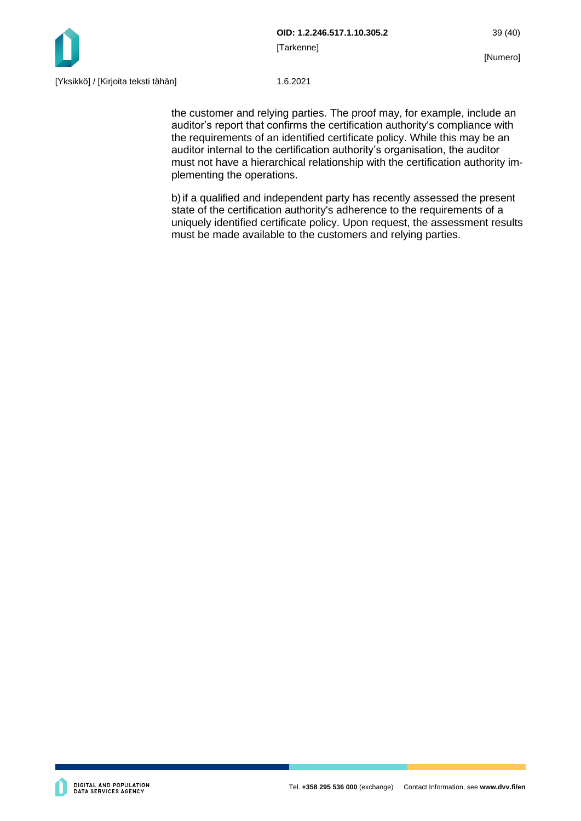

the customer and relying parties. The proof may, for example, include an auditor's report that confirms the certification authority's compliance with the requirements of an identified certificate policy. While this may be an auditor internal to the certification authority's organisation, the auditor must not have a hierarchical relationship with the certification authority implementing the operations.

b)if a qualified and independent party has recently assessed the present state of the certification authority's adherence to the requirements of a uniquely identified certificate policy. Upon request, the assessment results must be made available to the customers and relying parties.